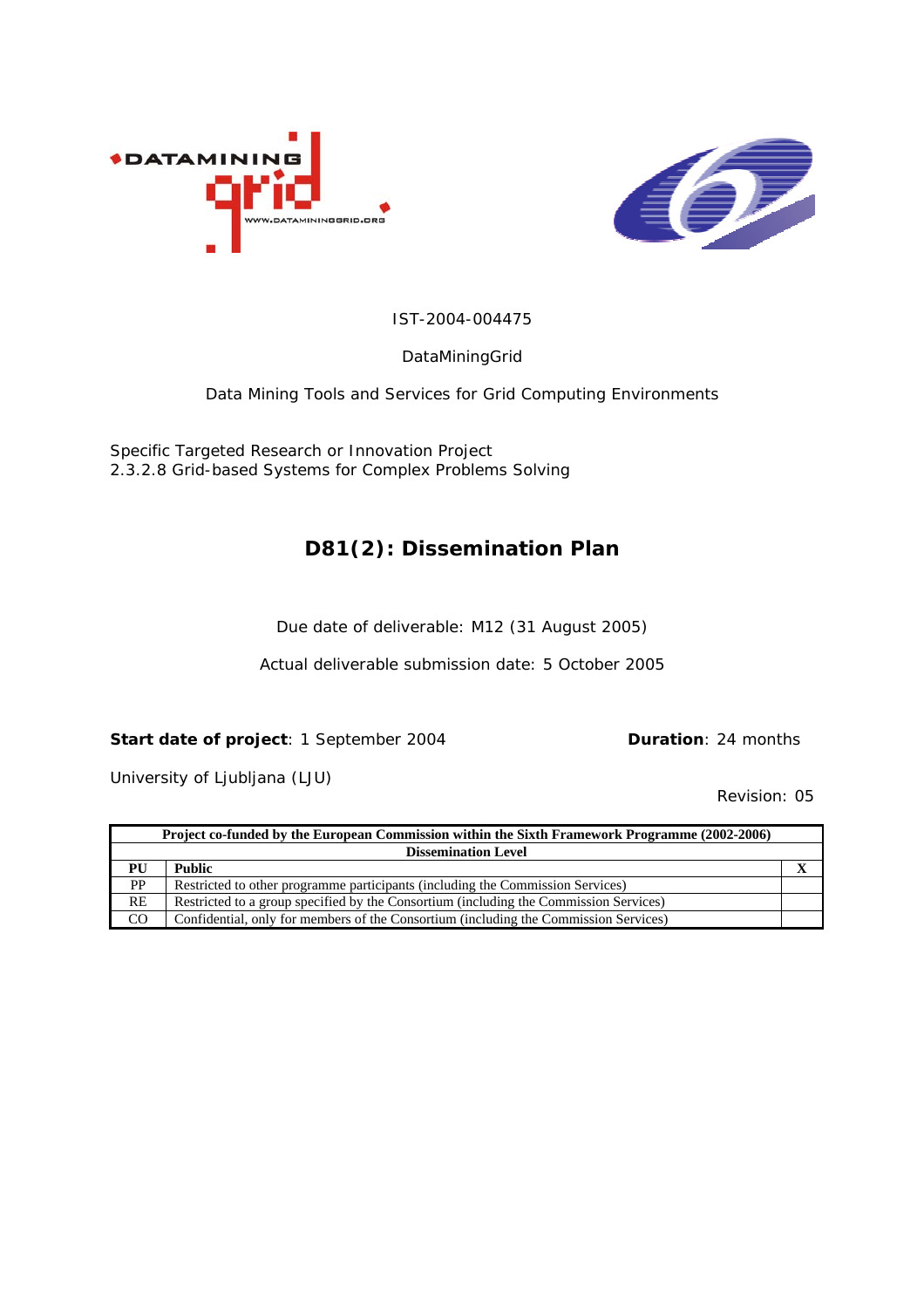



#### IST-2004-004475

DataMiningGrid

Data Mining Tools and Services for Grid Computing Environments

Specific Targeted Research or Innovation Project 2.3.2.8 Grid-based Systems for Complex Problems Solving

#### **D81(2): Dissemination Plan**

Due date of deliverable: M12 (31 August 2005)

Actual deliverable submission date: 5 October 2005

#### **Start date of project**: 1 September 2004 **Duration**: 24 months

University of Ljubljana (LJU)

Revision: 05

|           | Project co-funded by the European Commission within the Sixth Framework Programme (2002-2006) |  |  |  |
|-----------|-----------------------------------------------------------------------------------------------|--|--|--|
|           | <b>Dissemination Level</b>                                                                    |  |  |  |
| PU        | <b>Public</b>                                                                                 |  |  |  |
| <b>PP</b> | Restricted to other programme participants (including the Commission Services)                |  |  |  |
| RE        | Restricted to a group specified by the Consortium (including the Commission Services)         |  |  |  |
| CO        | Confidential, only for members of the Consortium (including the Commission Services)          |  |  |  |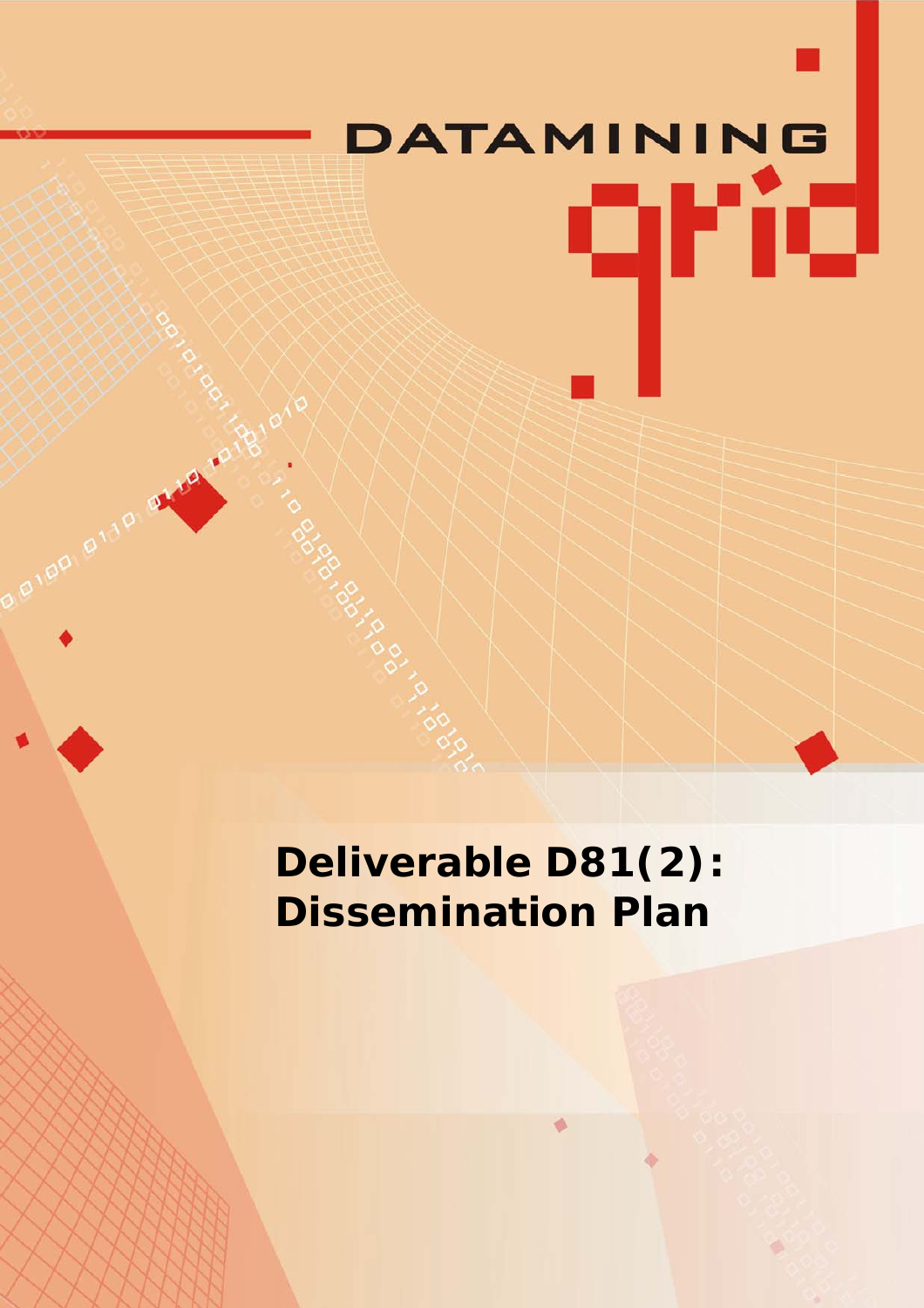# DATAMINING qrid

**Deliverable D81(2): Dissemination Plan**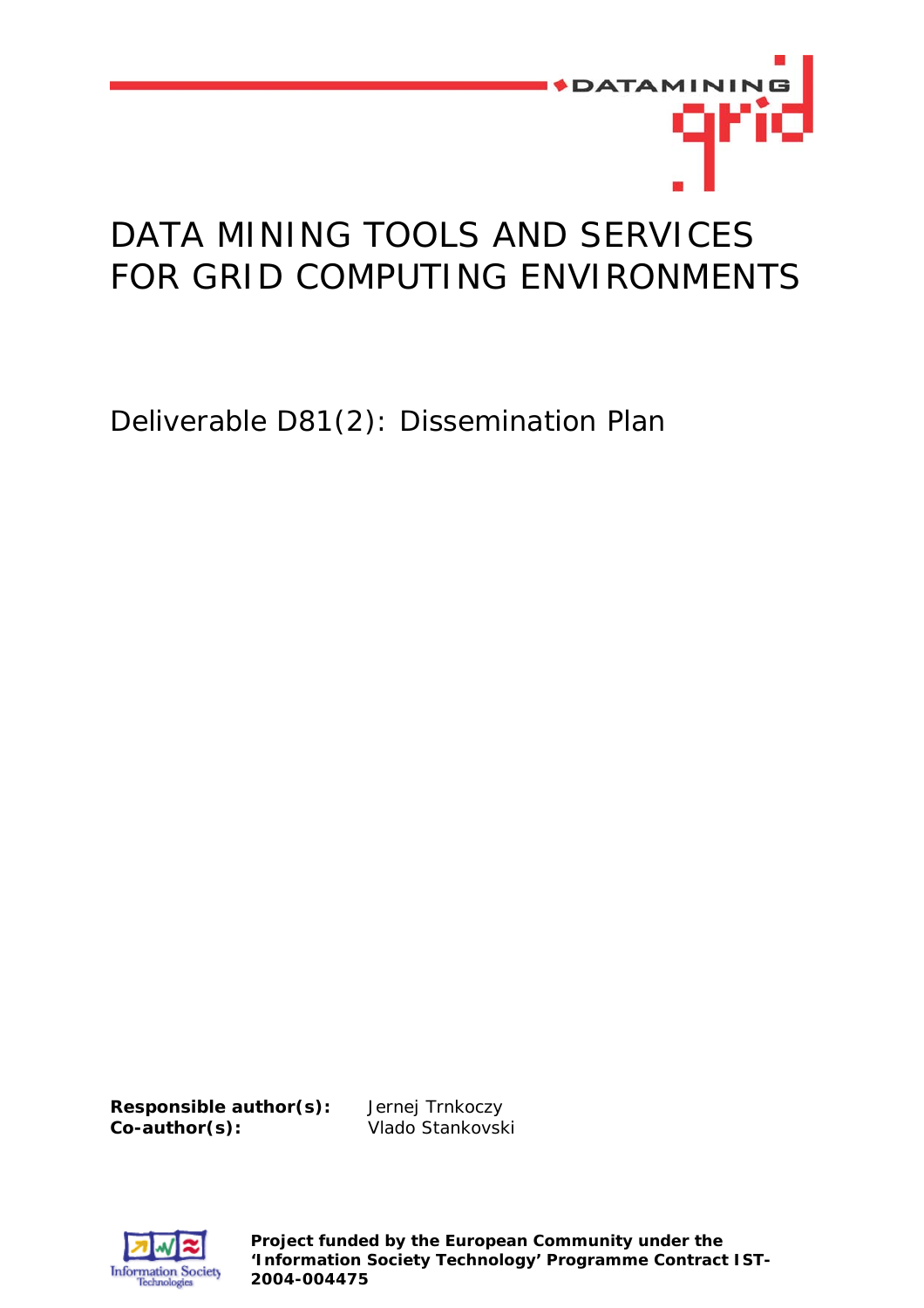

# DATA MINING TOOLS AND SERVICES FOR GRID COMPUTING ENVIRONMENTS

Deliverable D81(2): Dissemination Plan

**Responsible author(s):** Jernej Trnkoczy **Co-author(s):** Vlado Stankovski



**Project funded by the European Community under the 'Information Society Technology' Programme Contract IST-2004-004475**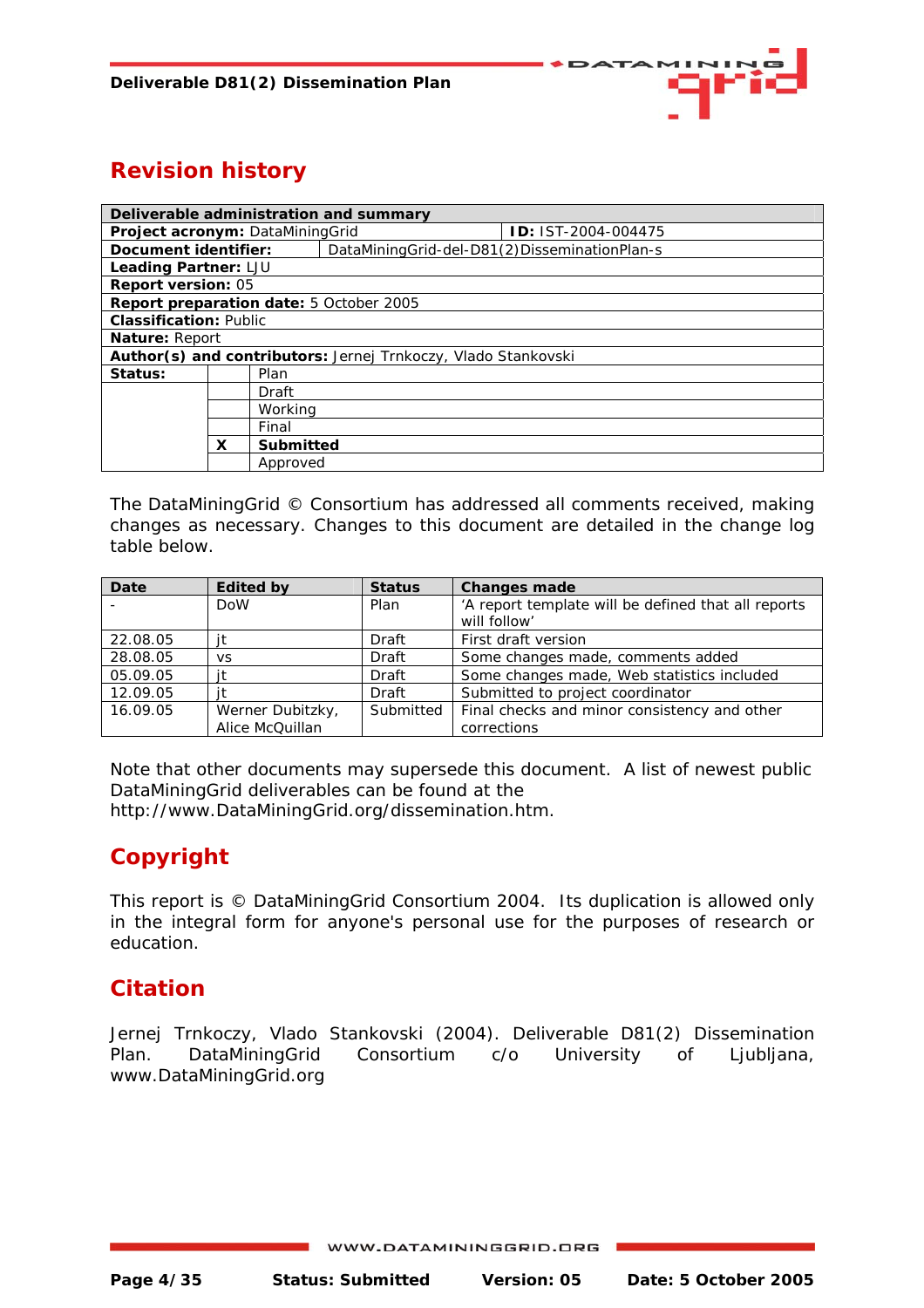

## **Revision history**

| Deliverable administration and summary                               |         |           |                                                |                           |
|----------------------------------------------------------------------|---------|-----------|------------------------------------------------|---------------------------|
| Project acronym: DataMiningGrid                                      |         |           |                                                | <b>D: IST-2004-004475</b> |
| Document identifier:                                                 |         |           | DataMiningGrid-del-D81(2)DisseminationPlan-s   |                           |
| Leading Partner: LJU                                                 |         |           |                                                |                           |
| Report version: 05                                                   |         |           |                                                |                           |
|                                                                      |         |           | <b>Report preparation date: 5 October 2005</b> |                           |
| <b>Classification: Public</b>                                        |         |           |                                                |                           |
| Nature: Report                                                       |         |           |                                                |                           |
| <b>Author(s) and contributors:</b> Jernej Trnkoczy, Vlado Stankovski |         |           |                                                |                           |
| Status:                                                              | Plan    |           |                                                |                           |
|                                                                      |         | Draft     |                                                |                           |
|                                                                      | Working |           |                                                |                           |
| Final                                                                |         |           |                                                |                           |
|                                                                      | x       | Submitted |                                                |                           |
|                                                                      |         | Approved  |                                                |                           |

The DataMiningGrid © Consortium has addressed all comments received, making changes as necessary. Changes to this document are detailed in the change log table below.

| Date     | <b>Edited by</b> | <b>Status</b> | <b>Changes made</b>                                 |
|----------|------------------|---------------|-----------------------------------------------------|
|          | <b>DoW</b>       | Plan          | 'A report template will be defined that all reports |
|          |                  |               | will follow'                                        |
| 22.08.05 |                  | Draft         | First draft version                                 |
| 28.08.05 | <b>VS</b>        | Draft         | Some changes made, comments added                   |
| 05.09.05 |                  | Draft         | Some changes made, Web statistics included          |
| 12.09.05 |                  | Draft         | Submitted to project coordinator                    |
| 16.09.05 | Werner Dubitzky, | Submitted     | Final checks and minor consistency and other        |
|          | Alice McQuillan  |               | corrections                                         |

Note that other documents may supersede this document. A list of newest public DataMiningGrid deliverables can be found at the http://www.DataMiningGrid.org/dissemination.htm.

## **Copyright**

This report is © DataMiningGrid Consortium 2004. Its duplication is allowed only in the integral form for anyone's personal use for the purposes of research or education.

#### **Citation**

Jernej Trnkoczy, Vlado Stankovski (2004). Deliverable D81(2) Dissemination Plan. DataMiningGrid Consortium c/o University of Ljubljana, [www.DataMiningGrid.org](http://www.datamininggrid.org/)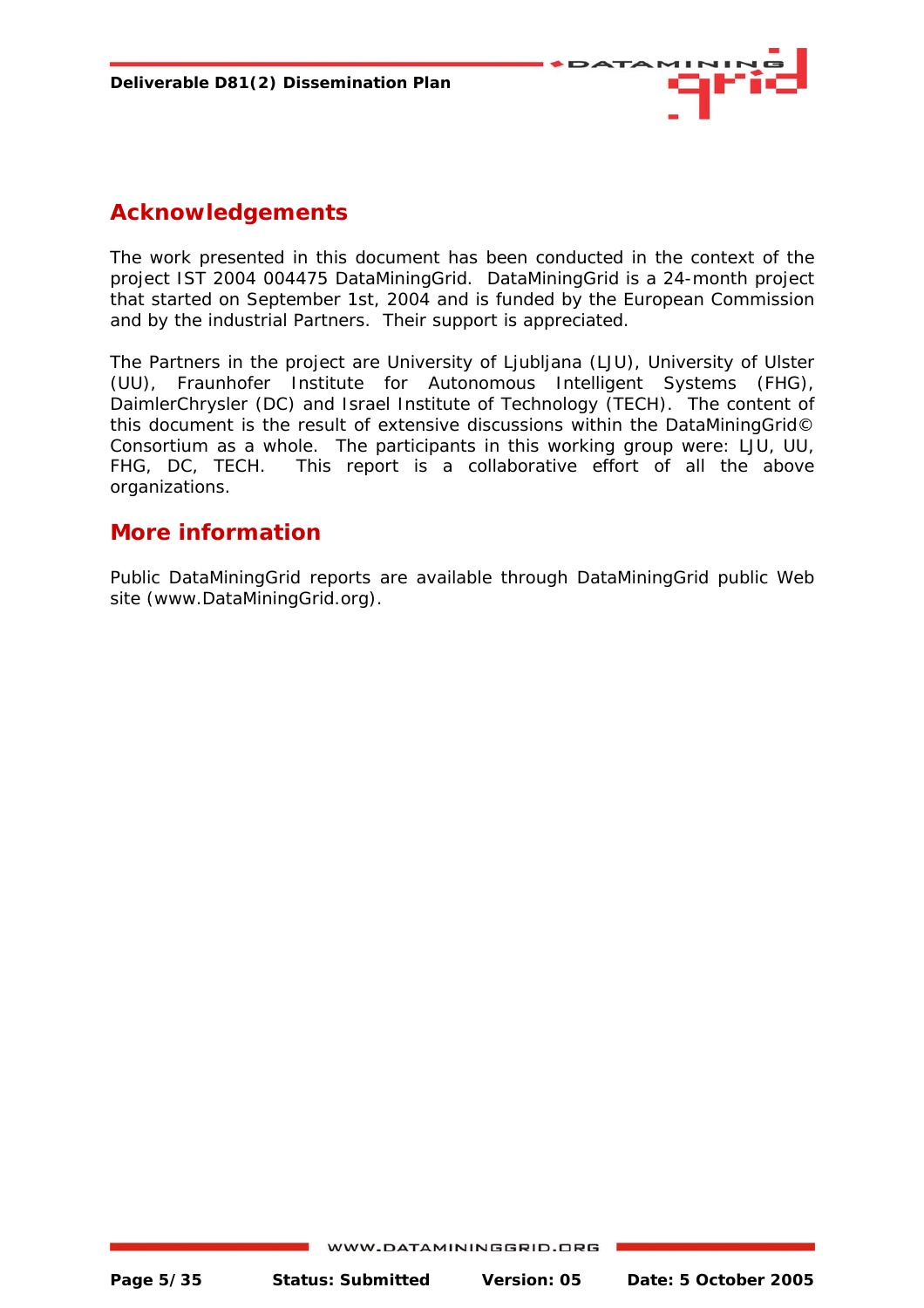

#### **Acknowledgements**

The work presented in this document has been conducted in the context of the project IST 2004 004475 DataMiningGrid. DataMiningGrid is a 24-month project that started on September 1st, 2004 and is funded by the European Commission and by the industrial Partners. Their support is appreciated.

The Partners in the project are University of Ljubljana (LJU), University of Ulster (UU), Fraunhofer Institute for Autonomous Intelligent Systems (FHG), DaimlerChrysler (DC) and Israel Institute of Technology (TECH). The content of this document is the result of extensive discussions within the DataMiningGrid© Consortium as a whole. The participants in this working group were: LJU, UU, FHG, DC, TECH. This report is a collaborative effort of all the above organizations.

#### **More information**

Public DataMiningGrid reports are available through DataMiningGrid public Web site (www.DataMiningGrid.org).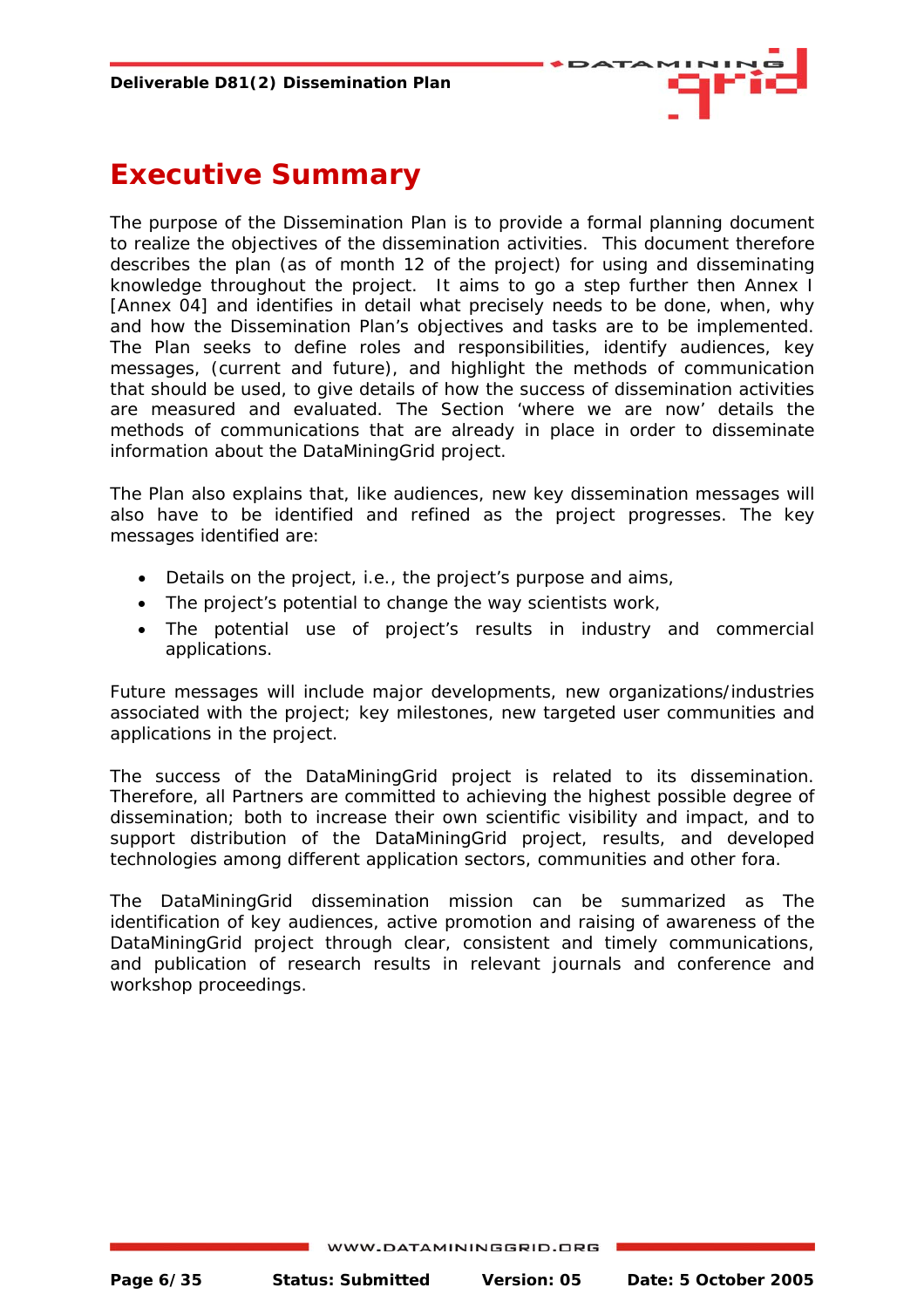

## <span id="page-5-0"></span>**Executive Summary**

The purpose of the Dissemination Plan is to provide a formal planning document to realize the objectives of the dissemination activities. This document therefore describes the plan (as of month 12 of the project) for using and disseminating knowledge throughout the project. It aims to go a step further then Annex I [Annex 04] and identifies in detail what precisely needs to be done, when, why and how the Dissemination Plan's objectives and tasks are to be implemented. The Plan seeks to define roles and responsibilities, identify audiences, key messages, (current and future), and highlight the methods of communication that should be used, to give details of how the success of dissemination activities are measured and evaluated. The Section 'where we are now' details the methods of communications that are already in place in order to disseminate information about the DataMiningGrid project.

The Plan also explains that, like audiences, new key dissemination messages will also have to be identified and refined as the project progresses. The key messages identified are:

- Details on the project, i.e., the project's purpose and aims,
- The project's potential to change the way scientists work,
- The potential use of project's results in industry and commercial applications.

Future messages will include major developments, new organizations/industries associated with the project; key milestones, new targeted user communities and applications in the project.

The success of the DataMiningGrid project is related to its dissemination. Therefore, all Partners are committed to achieving the highest possible degree of dissemination; both to increase their own scientific visibility and impact, and to support distribution of the DataMiningGrid project, results, and developed technologies among different application sectors, communities and other fora.

The DataMiningGrid dissemination mission can be summarized as *The identification of key audiences, active promotion and raising of awareness of the DataMiningGrid project through clear, consistent and timely communications, and publication of research results in relevant journals and conference and workshop proceedings*.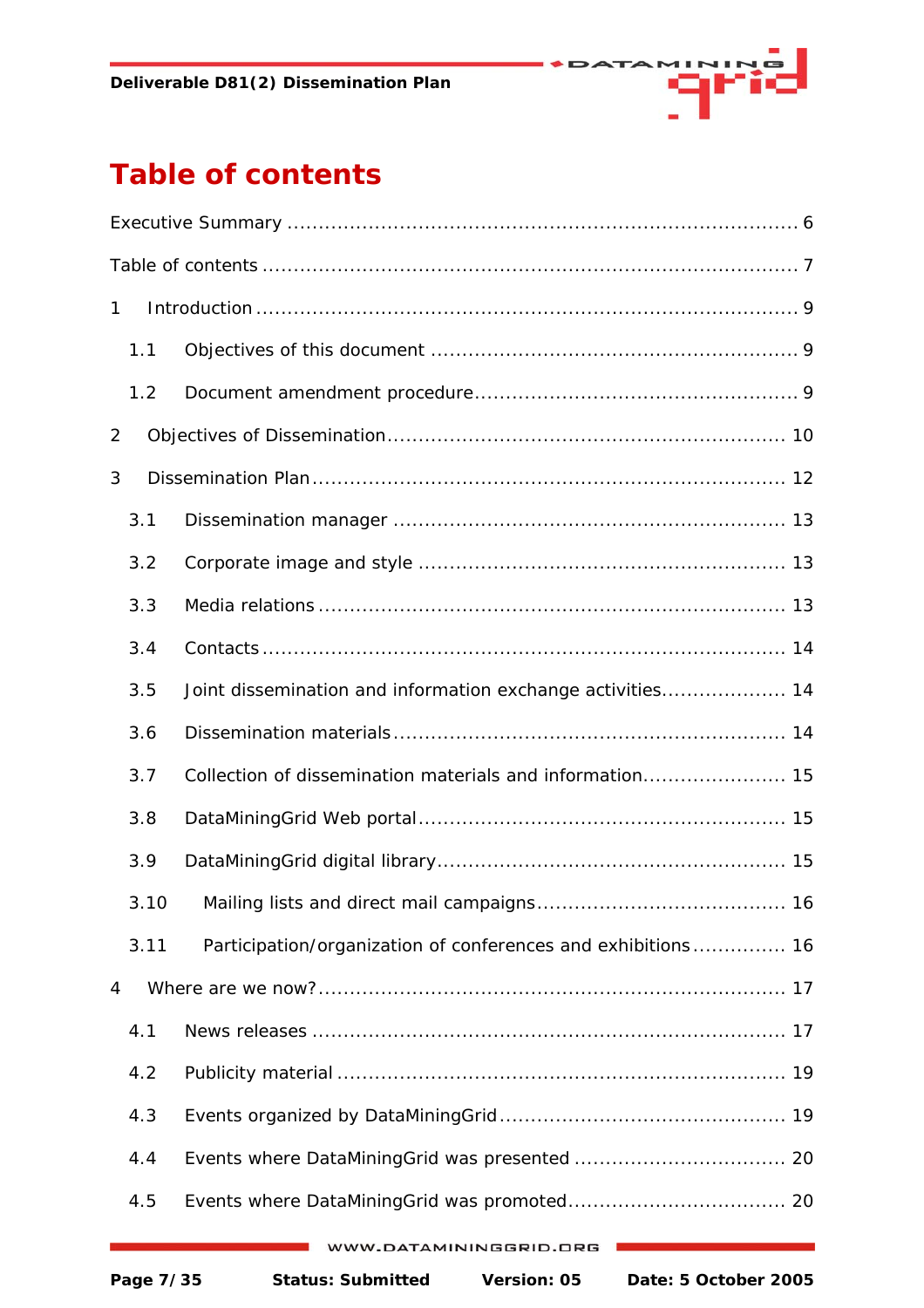

# <span id="page-6-0"></span>**Table of contents**

| $\mathbf{1}$ |                                                              |
|--------------|--------------------------------------------------------------|
| 1.1          |                                                              |
| 1.2          |                                                              |
| 2            |                                                              |
| 3            |                                                              |
| 3.1          |                                                              |
| 3.2          |                                                              |
| 3.3          |                                                              |
| 3.4          |                                                              |
| 3.5          | Joint dissemination and information exchange activities 14   |
| 3.6          |                                                              |
| 3.7          |                                                              |
| 3.8          |                                                              |
| 3.9          |                                                              |
|              |                                                              |
| 3.11         | Participation/organization of conferences and exhibitions 16 |
| 4            |                                                              |
| 4.1          |                                                              |
| 4.2          |                                                              |
| 4.3          |                                                              |
| 4.4          |                                                              |
| 4.5          |                                                              |
|              | W.DATAMININGGRID.ORG                                         |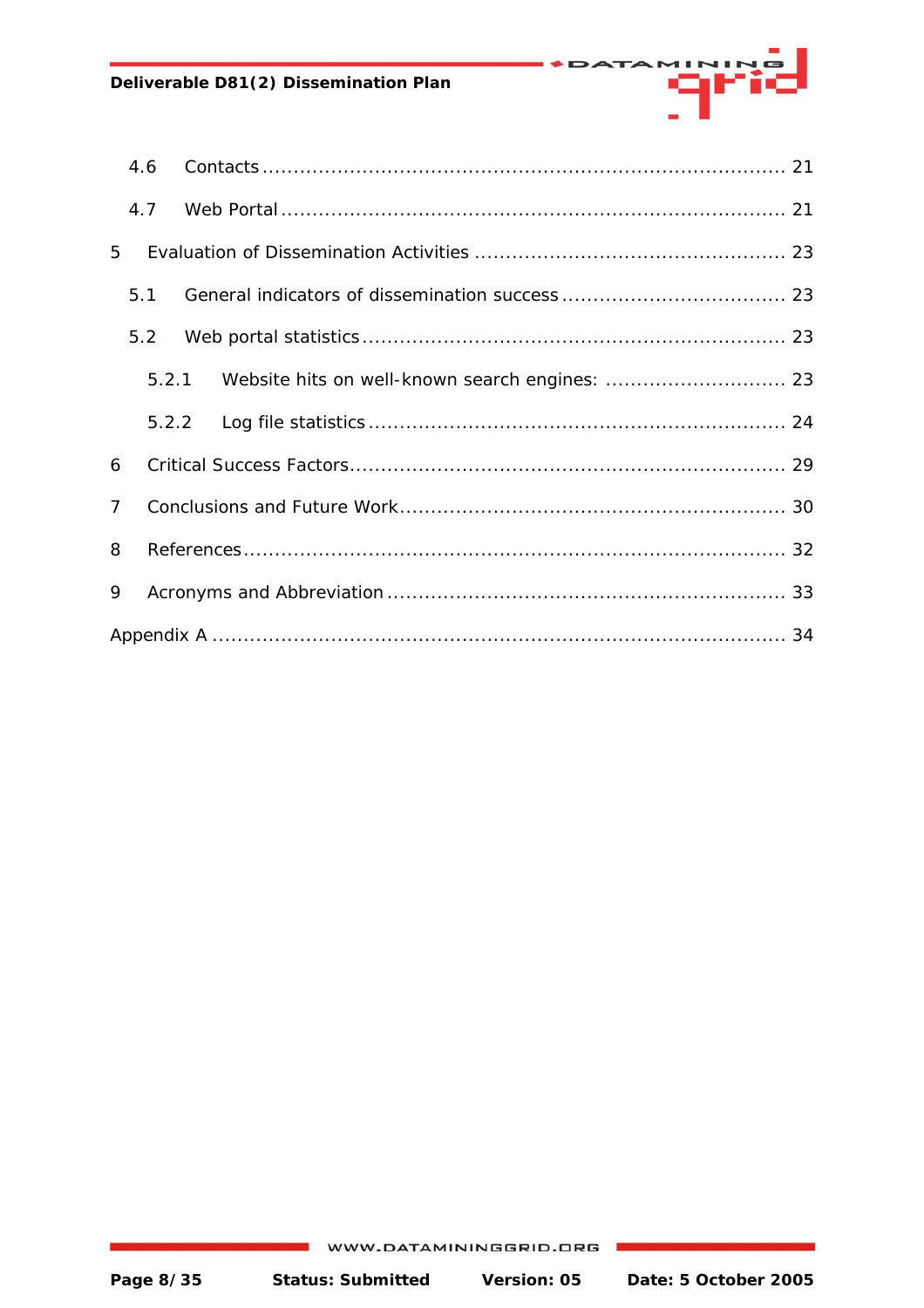**Deliverable D81(2) Dissemination Plan** 

|                | 4.6   |  |  |
|----------------|-------|--|--|
|                | 4.7   |  |  |
| 5              |       |  |  |
|                | 5.1   |  |  |
|                | 5.2   |  |  |
|                | 5.2.1 |  |  |
|                |       |  |  |
| 6              |       |  |  |
| $\overline{7}$ |       |  |  |
| 8              |       |  |  |
| 9              |       |  |  |
|                |       |  |  |

arrë

DATA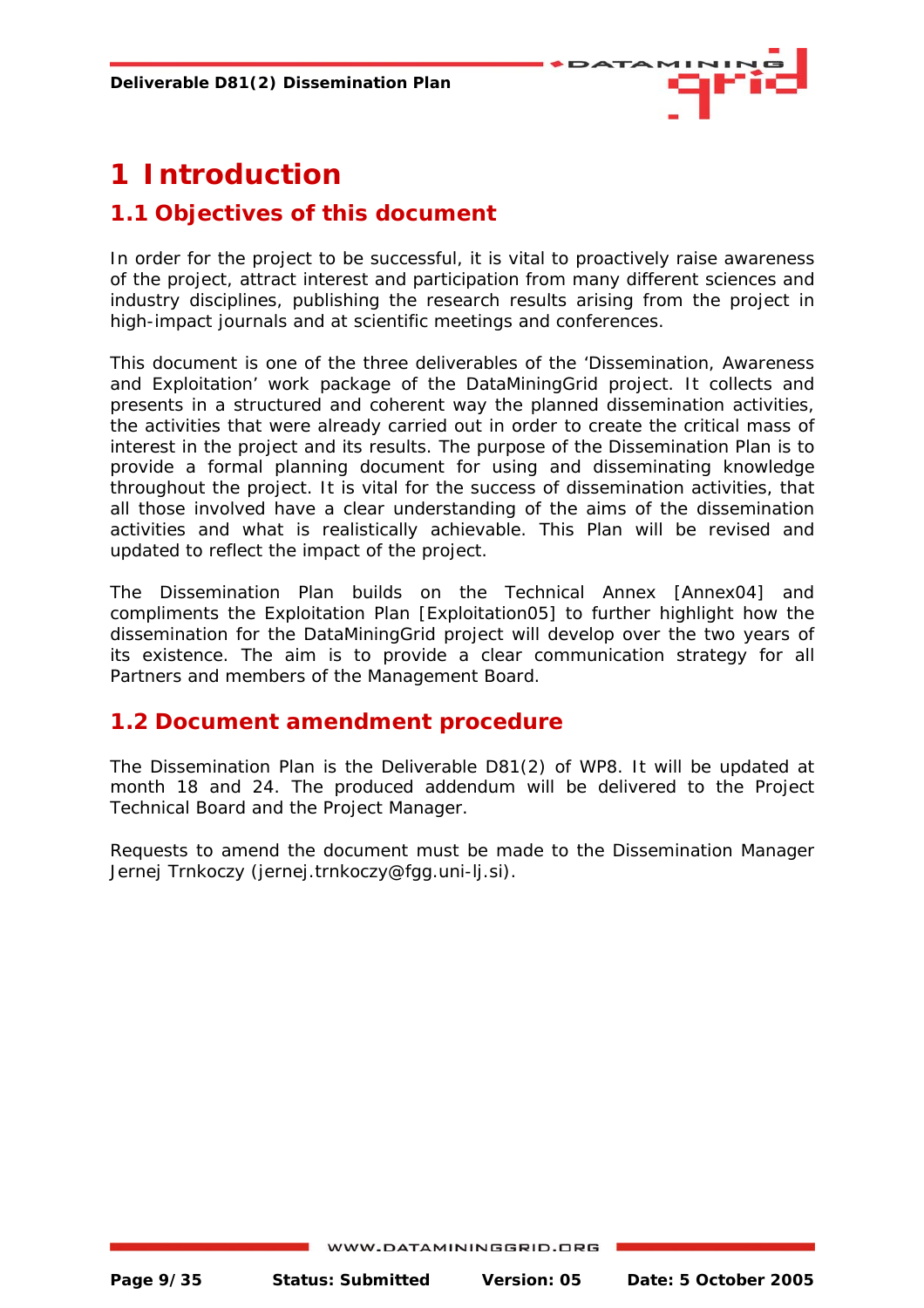

# <span id="page-8-0"></span>**1 Introduction**

#### **1.1 Objectives of this document**

In order for the project to be successful, it is vital to proactively raise awareness of the project, attract interest and participation from many different sciences and industry disciplines, publishing the research results arising from the project in high-impact journals and at scientific meetings and conferences.

This document is one of the three deliverables of the 'Dissemination, Awareness and Exploitation' work package of the DataMiningGrid project. It collects and presents in a structured and coherent way the planned dissemination activities, the activities that were already carried out in order to create the critical mass of interest in the project and its results. The purpose of the Dissemination Plan is to provide a formal planning document for using and disseminating knowledge throughout the project. It is vital for the success of dissemination activities, that all those involved have a clear understanding of the aims of the dissemination activities and what is realistically achievable. This Plan will be revised and updated to reflect the impact of the project.

The Dissemination Plan builds on the Technical Annex [Annex04] and compliments the Exploitation Plan [Exploitation05] to further highlight how the dissemination for the DataMiningGrid project will develop over the two years of its existence. The aim is to provide a clear communication strategy for all Partners and members of the Management Board.

#### **1.2 Document amendment procedure**

The Dissemination Plan is the Deliverable D81(2) of WP8. It will be updated at month 18 and 24. The produced addendum will be delivered to the Project Technical Board and the Project Manager.

Requests to amend the document must be made to the Dissemination Manager Jernej Trnkoczy ([jernej.trnkoczy@fgg.uni-lj.si\)](mailto:jernej.trnkoczy@fgg.uni-lj.si).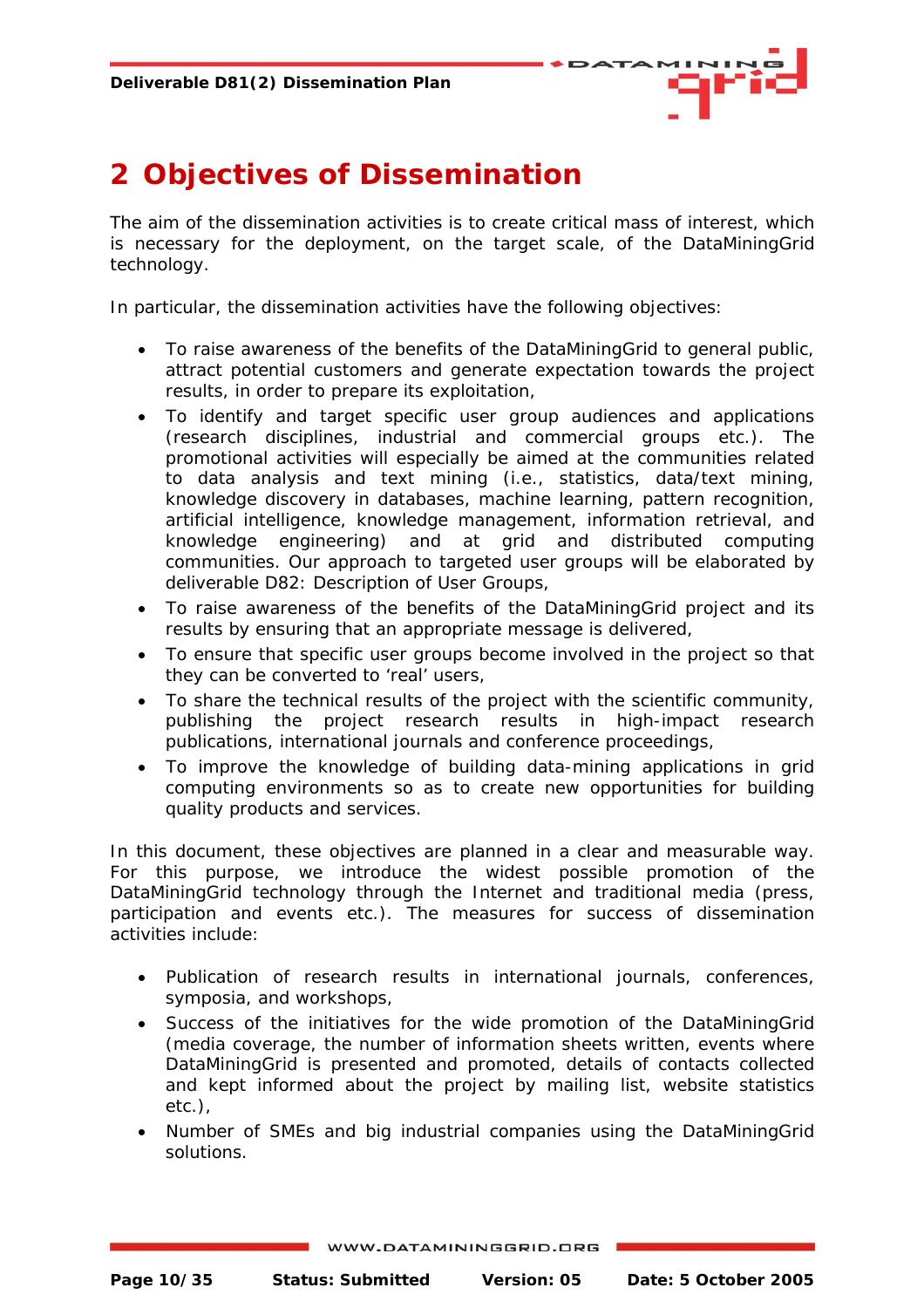

# <span id="page-9-0"></span>**2 Objectives of Dissemination**

The aim of the dissemination activities is to create critical mass of interest, which is necessary for the deployment, on the target scale, of the DataMiningGrid technology.

In particular, the dissemination activities have the following objectives:

- To raise awareness of the benefits of the DataMiningGrid to general public, attract potential customers and generate expectation towards the project results, in order to prepare its exploitation,
- To identify and target specific user group audiences and applications (research disciplines, industrial and commercial groups etc.). The promotional activities will especially be aimed at the communities related to data analysis and text mining (i.e., statistics, data/text mining, knowledge discovery in databases, machine learning, pattern recognition, artificial intelligence, knowledge management, information retrieval, and knowledge engineering) and at grid and distributed computing communities. Our approach to targeted user groups will be elaborated by deliverable D82: Description of User Groups,
- To raise awareness of the benefits of the DataMiningGrid project and its results by ensuring that an appropriate message is delivered,
- To ensure that specific user groups become involved in the project so that they can be converted to 'real' users,
- To share the technical results of the project with the scientific community, publishing the project research results in high-impact research publications, international journals and conference proceedings,
- To improve the knowledge of building data-mining applications in grid computing environments so as to create new opportunities for building quality products and services.

In this document, these objectives are planned in a clear and measurable way. For this purpose, we introduce the widest possible promotion of the DataMiningGrid technology through the Internet and traditional media (press, participation and events etc.). The measures for success of dissemination activities include:

- Publication of research results in international journals, conferences, symposia, and workshops,
- Success of the initiatives for the wide promotion of the DataMiningGrid (media coverage, the number of information sheets written, events where DataMiningGrid is presented and promoted, details of contacts collected and kept informed about the project by mailing list, website statistics etc.),
- Number of SMEs and big industrial companies using the DataMiningGrid solutions.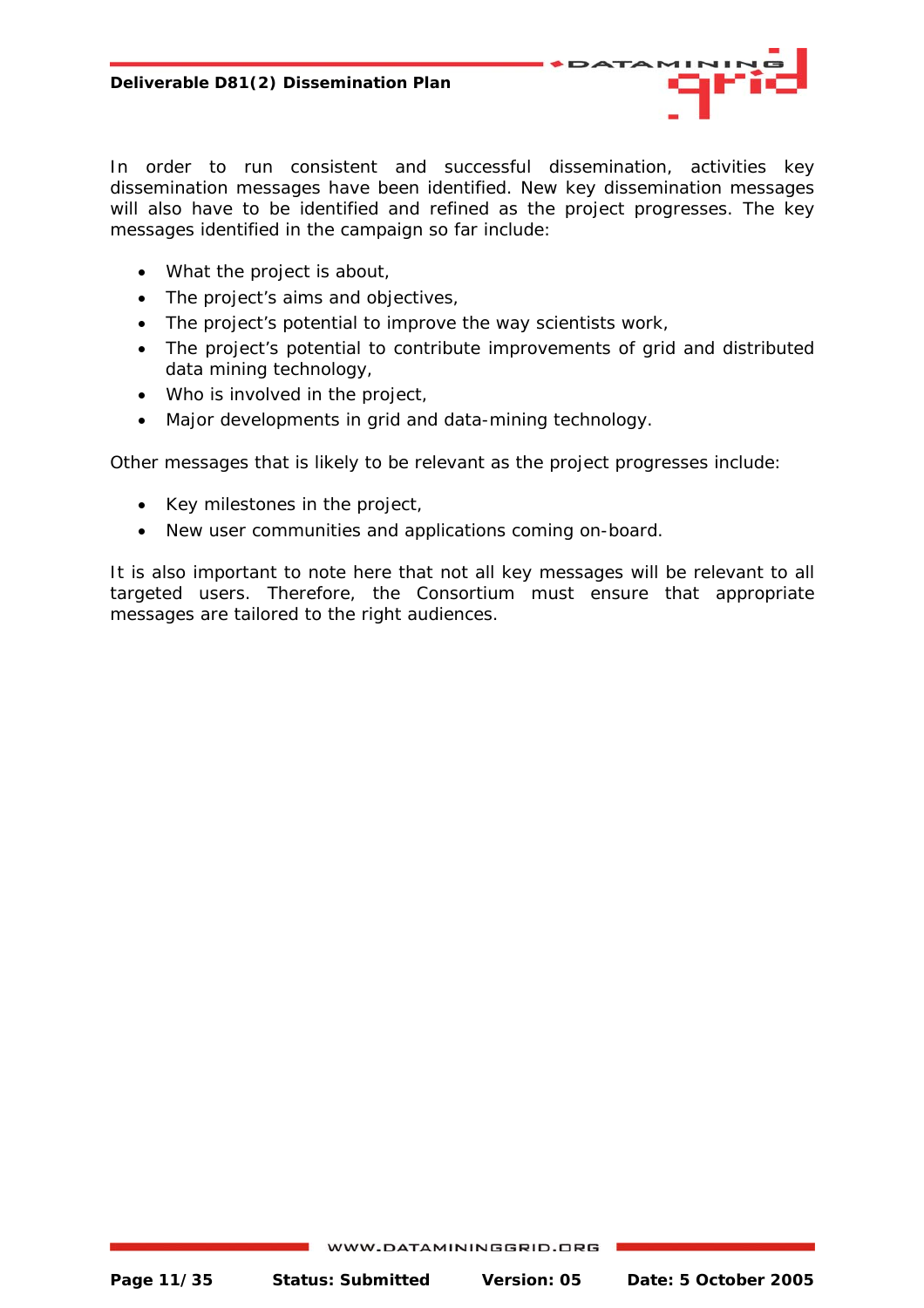In order to run consistent and successful dissemination, activities key dissemination *messages* have been identified. New key dissemination messages will also have to be identified and refined as the project progresses. The key messages identified in the campaign so far include:

- What the project is about,
- The project's aims and objectives,
- The project's potential to improve the way scientists work,
- The project's potential to contribute improvements of grid and distributed data mining technology,
- Who is involved in the project,
- Major developments in grid and data-mining technology.

Other messages that is likely to be relevant as the project progresses include:

- Key milestones in the project,
- New user communities and applications coming on-board.

It is also important to note here that not all key messages will be relevant to all targeted users. Therefore, the Consortium must ensure that appropriate messages are tailored to the right audiences.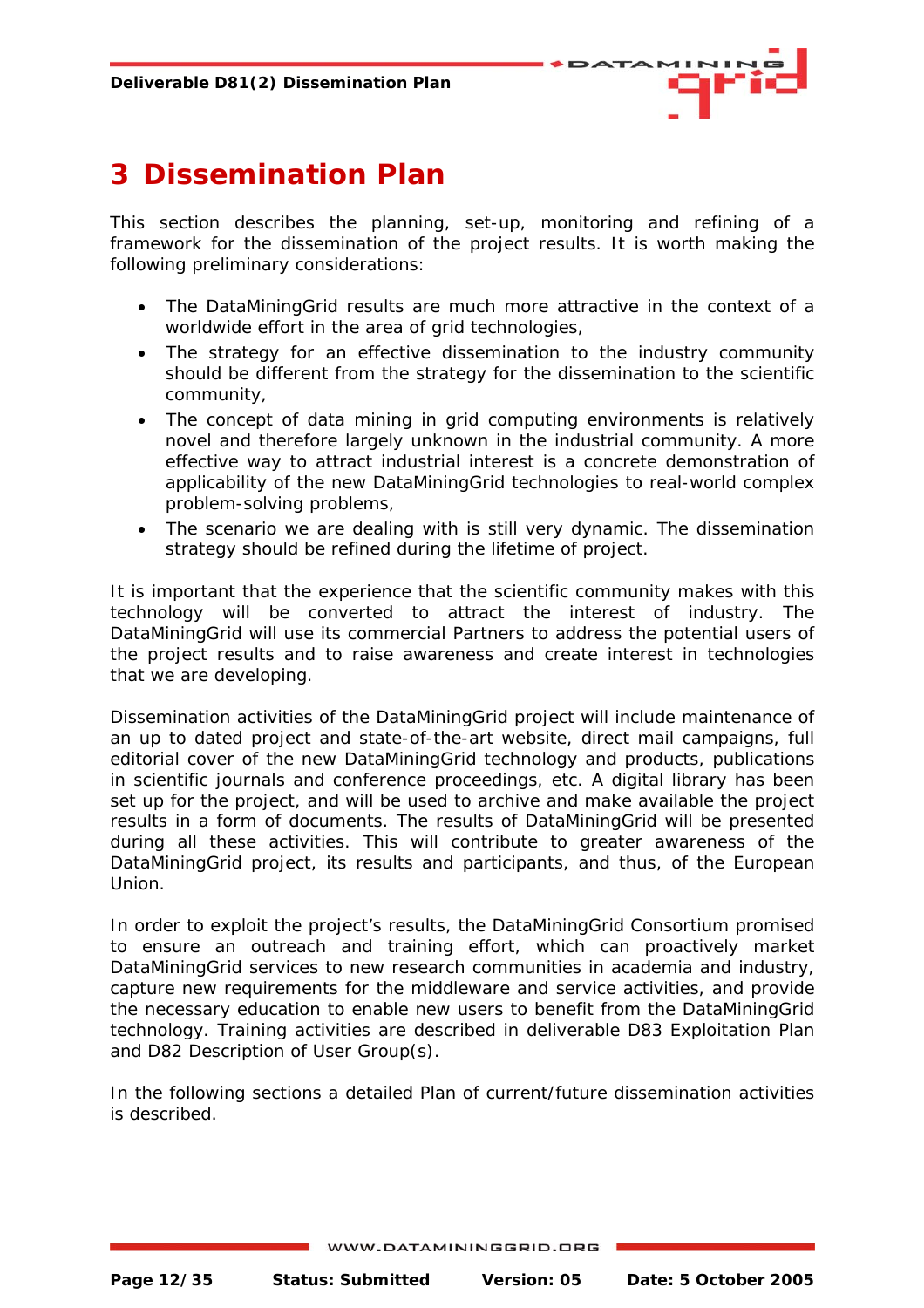

# <span id="page-11-0"></span>**3 Dissemination Plan**

This section describes the planning, set-up, monitoring and refining of a framework for the dissemination of the project results. It is worth making the following preliminary considerations:

- The DataMiningGrid results are much more attractive in the context of a worldwide effort in the area of grid technologies,
- The strategy for an effective dissemination to the industry community should be different from the strategy for the dissemination to the scientific community,
- The concept of *data mining in grid computing environments* is relatively novel and therefore largely unknown in the industrial community. A more effective way to attract industrial interest is a concrete demonstration of applicability of the new DataMiningGrid technologies to real-world complex problem-solving problems,
- The scenario we are dealing with is still very dynamic. The dissemination strategy should be refined during the lifetime of project.

It is important that the experience that the scientific community makes with this technology will be converted to attract the interest of industry. The DataMiningGrid will use its commercial Partners to address the potential users of the project results and to raise awareness and create interest in technologies that we are developing.

Dissemination activities of the DataMiningGrid project will include maintenance of an up to dated project and state-of-the-art website, direct mail campaigns, full editorial cover of the new DataMiningGrid technology and products, publications in scientific journals and conference proceedings, etc. A digital library has been set up for the project, and will be used to archive and make available the project results in a form of documents. The results of DataMiningGrid will be presented during all these activities. This will contribute to greater awareness of the DataMiningGrid project, its results and participants, and thus, of the European Union.

In order to exploit the project's results, the DataMiningGrid Consortium promised to ensure an outreach and training effort, which can proactively market DataMiningGrid services to new research communities in academia and industry, capture new requirements for the middleware and service activities, and provide the necessary education to enable new users to benefit from the DataMiningGrid technology. Training activities are described in deliverable D83 Exploitation Plan and D82 Description of User Group(s).

In the following sections a detailed Plan of current/future dissemination activities is described.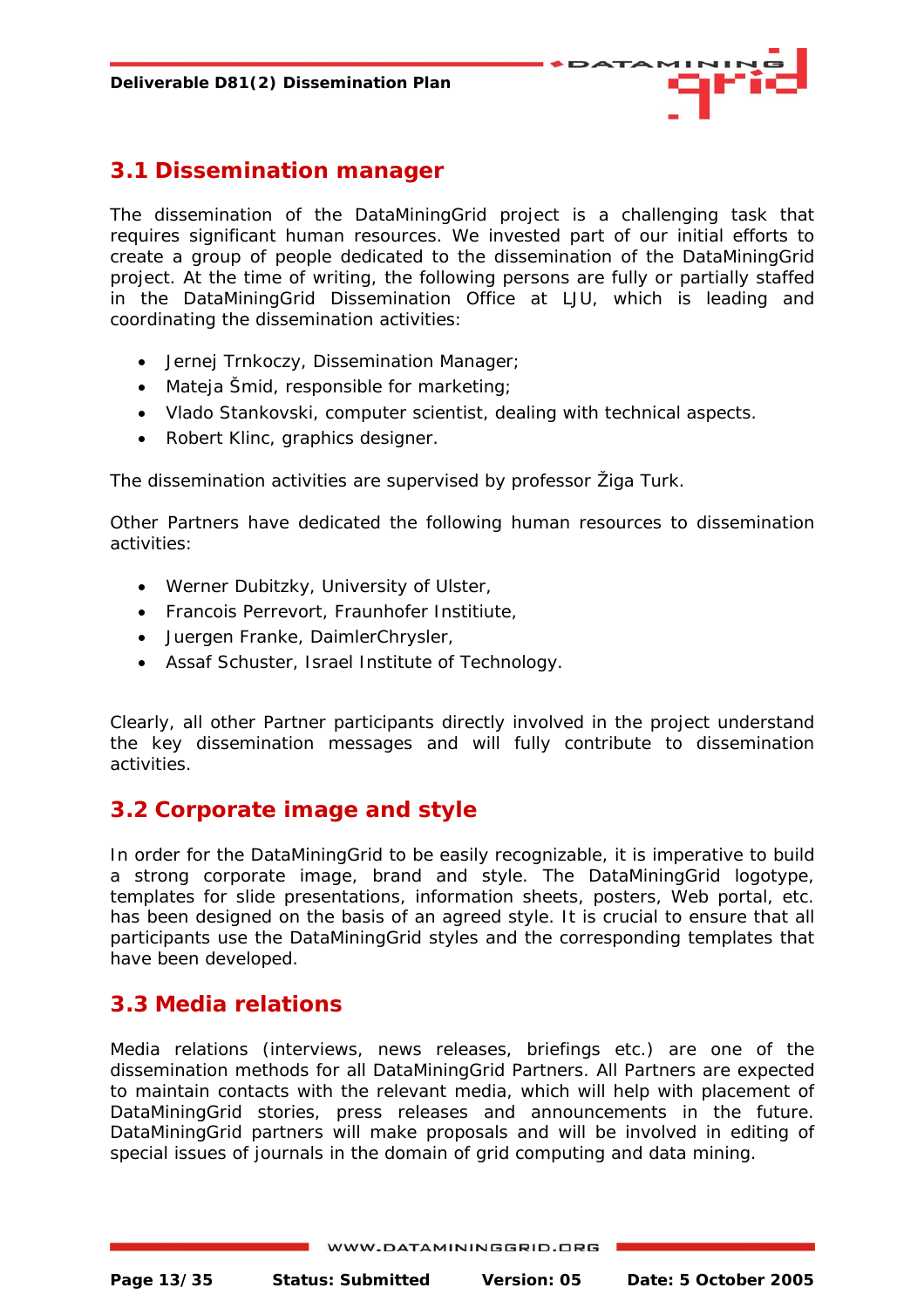

#### <span id="page-12-0"></span>**3.1 Dissemination manager**

The dissemination of the DataMiningGrid project is a challenging task that requires significant human resources. We invested part of our initial efforts to create a group of people dedicated to the dissemination of the DataMiningGrid project. At the time of writing, the following persons are fully or partially staffed in the DataMiningGrid Dissemination Office at LJU, which is leading and coordinating the dissemination activities:

- Jernej Trnkoczy, Dissemination Manager;
- Mateja Šmid, responsible for marketing;
- Vlado Stankovski, computer scientist, dealing with technical aspects.
- Robert Klinc, graphics designer.

The dissemination activities are supervised by professor Žiga Turk.

Other Partners have dedicated the following human resources to dissemination activities:

- Werner Dubitzky, University of Ulster,
- Francois Perrevort, Fraunhofer Institiute,
- Juergen Franke, DaimlerChrysler,
- Assaf Schuster, Israel Institute of Technology.

Clearly, all other Partner participants directly involved in the project understand the key dissemination messages and will fully contribute to dissemination activities.

#### **3.2 Corporate image and style**

In order for the DataMiningGrid to be easily recognizable, it is imperative to build a strong corporate image, brand and style. The DataMiningGrid logotype, templates for slide presentations, information sheets, posters, Web portal, etc. has been designed on the basis of an agreed style. It is crucial to ensure that all participants use the DataMiningGrid styles and the corresponding templates that have been developed.

#### **3.3 Media relations**

Media relations (interviews, news releases, briefings etc.) are one of the dissemination methods for all DataMiningGrid Partners. All Partners are expected to maintain contacts with the relevant media, which will help with placement of DataMiningGrid stories, press releases and announcements in the future. DataMiningGrid partners will make proposals and will be involved in editing of special issues of journals in the domain of grid computing and data mining.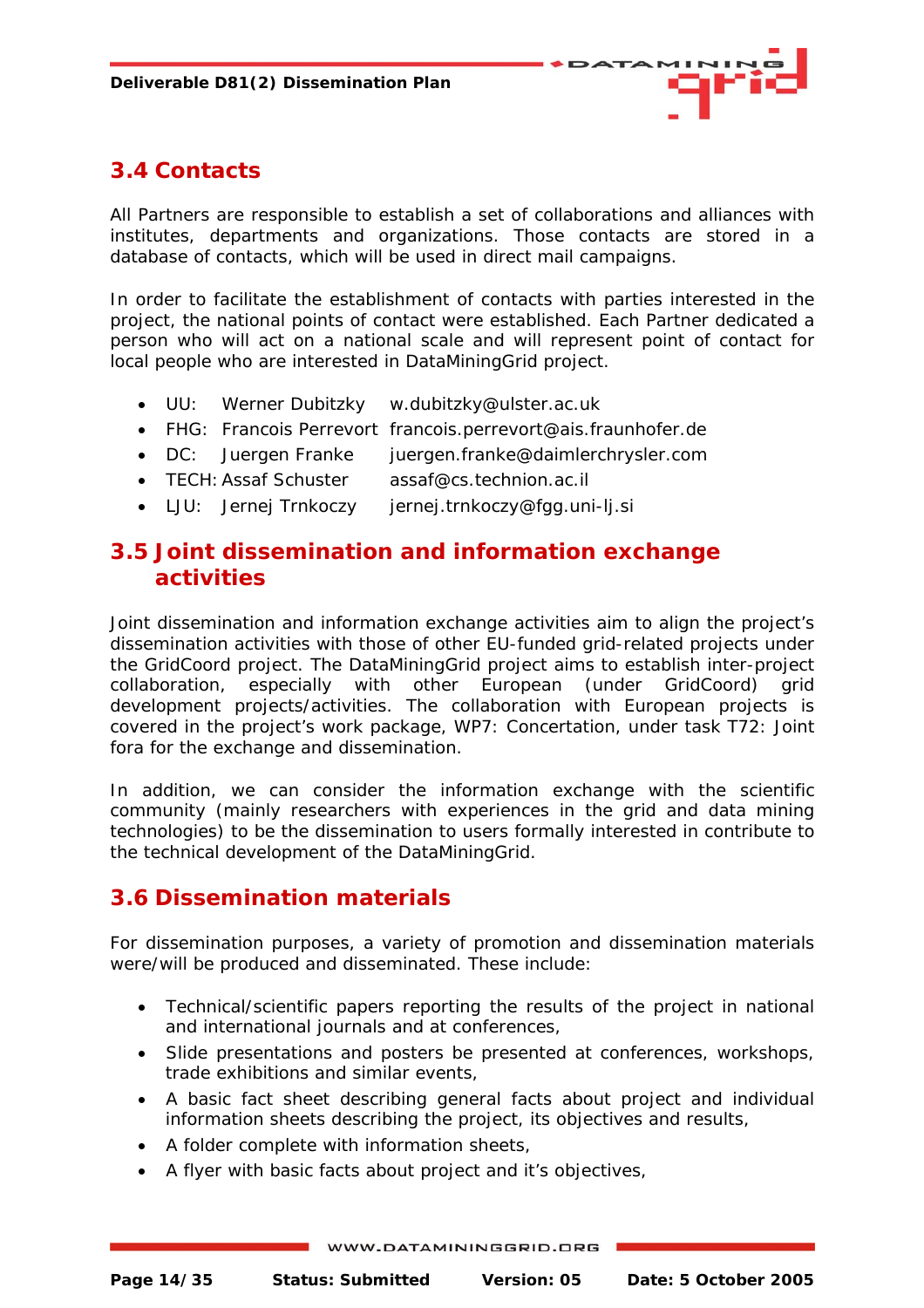

## <span id="page-13-0"></span>**3.4 Contacts**

All Partners are responsible to establish a set of collaborations and alliances with institutes, departments and organizations. Those contacts are stored in a database of contacts, which will be used in direct mail campaigns.

In order to facilitate the establishment of contacts with parties interested in the project, the national points of contact were established. Each Partner dedicated a person who will act on a national scale and will represent point of contact for local people who are interested in DataMiningGrid project.

- UU: Werner Dubitzky w.dubitzky@ulster.ac.uk
- FHG: Francois Perrevort francois.perrevort@ais.fraunhofer.de
- DC: Juergen Franke juergen.franke@daimlerchrysler.com
- TECH: Assaf Schuster assaf@cs.technion.ac.il
- LJU: Jernej Trnkoczy jernej.trnkoczy@fgg.uni-lj.si

#### **3.5 Joint dissemination and information exchange activities**

Joint dissemination and information exchange activities aim to align the project's dissemination activities with those of other EU-funded grid-related projects under the GridCoord project. The DataMiningGrid project aims to establish inter-project collaboration, especially with other European (under GridCoord) grid development projects/activities. The collaboration with European projects is covered in the project's work package, WP7: Concertation, under task T72: Joint fora for the exchange and dissemination.

In addition, we can consider the information exchange with the scientific community (mainly researchers with experiences in the grid and data mining technologies) to be the dissemination to users formally interested in contribute to the technical development of the DataMiningGrid.

#### **3.6 Dissemination materials**

For dissemination purposes, a variety of promotion and dissemination materials were/will be produced and disseminated. These include:

- Technical/scientific papers reporting the results of the project in national and international journals and at conferences,
- Slide presentations and posters be presented at conferences, workshops, trade exhibitions and similar events,
- A *basic fact sheet* describing general facts about project and individual *information sheets* describing the project, its objectives and results,
- A folder complete with information sheets,
- A flyer with basic facts about project and it's objectives,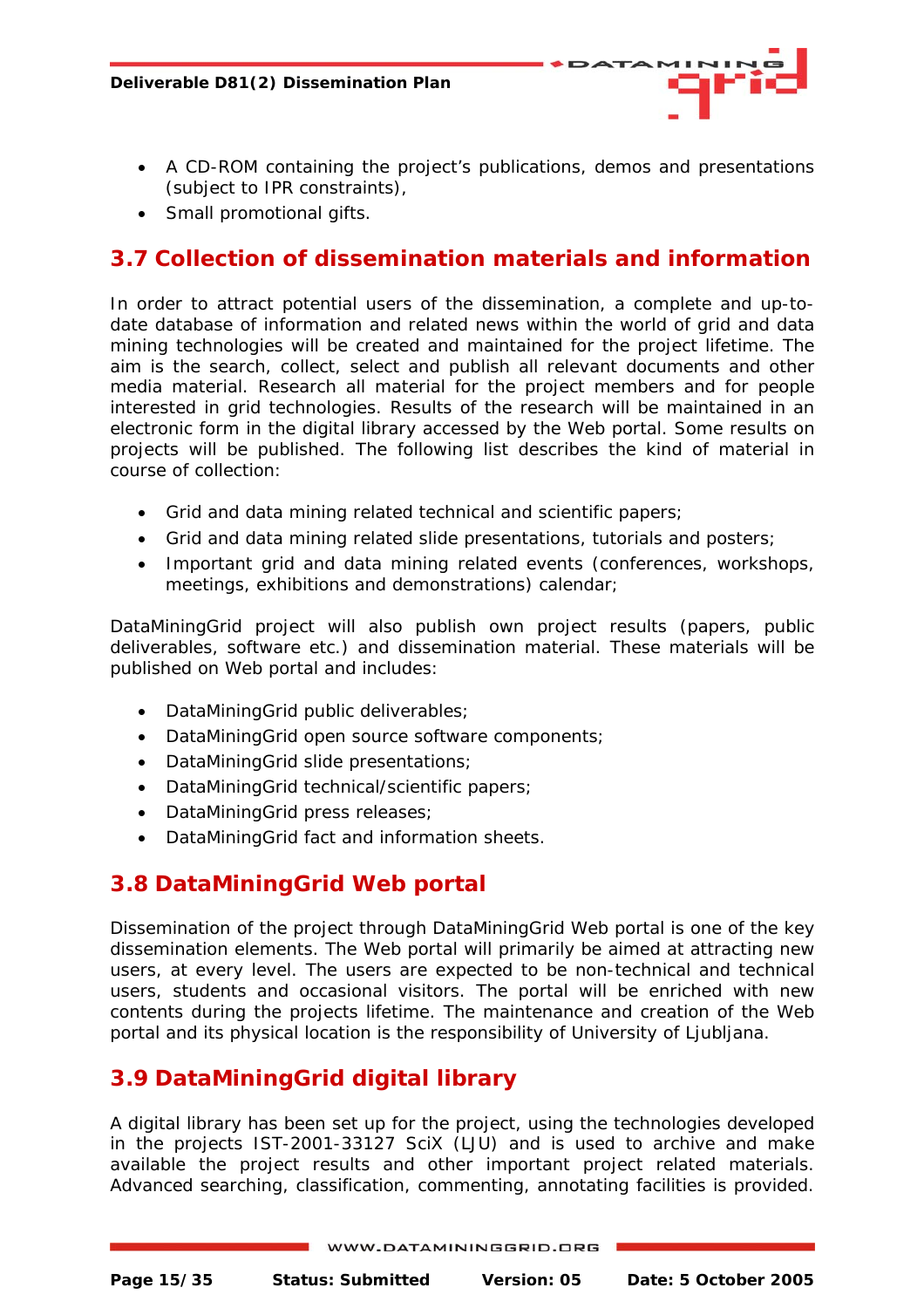- 
- <span id="page-14-0"></span>• A CD-ROM containing the project's publications, demos and presentations (subject to IPR constraints),
- Small promotional gifts.

## **3.7 Collection of dissemination materials and information**

In order to attract potential users of the dissemination, a complete and up-todate database of information and related news within the world of grid and data mining technologies will be created and maintained for the project lifetime. The aim is the search, collect, select and publish all relevant documents and other media material. Research all material for the project members and for people interested in grid technologies. Results of the research will be maintained in an electronic form in the digital library accessed by the Web portal. Some results on projects will be published. The following list describes the kind of material in course of collection:

- Grid and data mining related technical and scientific papers;
- Grid and data mining related slide presentations, tutorials and posters;
- Important grid and data mining related events (conferences, workshops, meetings, exhibitions and demonstrations) calendar;

DataMiningGrid project will also publish own project results (papers, public deliverables, software etc.) and dissemination material. These materials will be published on Web portal and includes:

- DataMiningGrid public deliverables;
- DataMiningGrid open source software components;
- DataMiningGrid slide presentations;
- DataMiningGrid technical/scientific papers;
- DataMiningGrid press releases;
- DataMiningGrid fact and information sheets.

#### **3.8 DataMiningGrid Web portal**

Dissemination of the project through DataMiningGrid Web portal is one of the key dissemination elements. The Web portal will primarily be aimed at attracting new users, at every level. The users are expected to be non-technical and technical users, students and occasional visitors. The portal will be enriched with new contents during the projects lifetime. The maintenance and creation of the Web portal and its physical location is the responsibility of University of Ljubljana.

## **3.9 DataMiningGrid digital library**

A digital library has been set up for the project, using the technologies developed in the projects IST-2001-33127 SciX (LJU) and is used to archive and make available the project results and other important project related materials. Advanced searching, classification, commenting, annotating facilities is provided.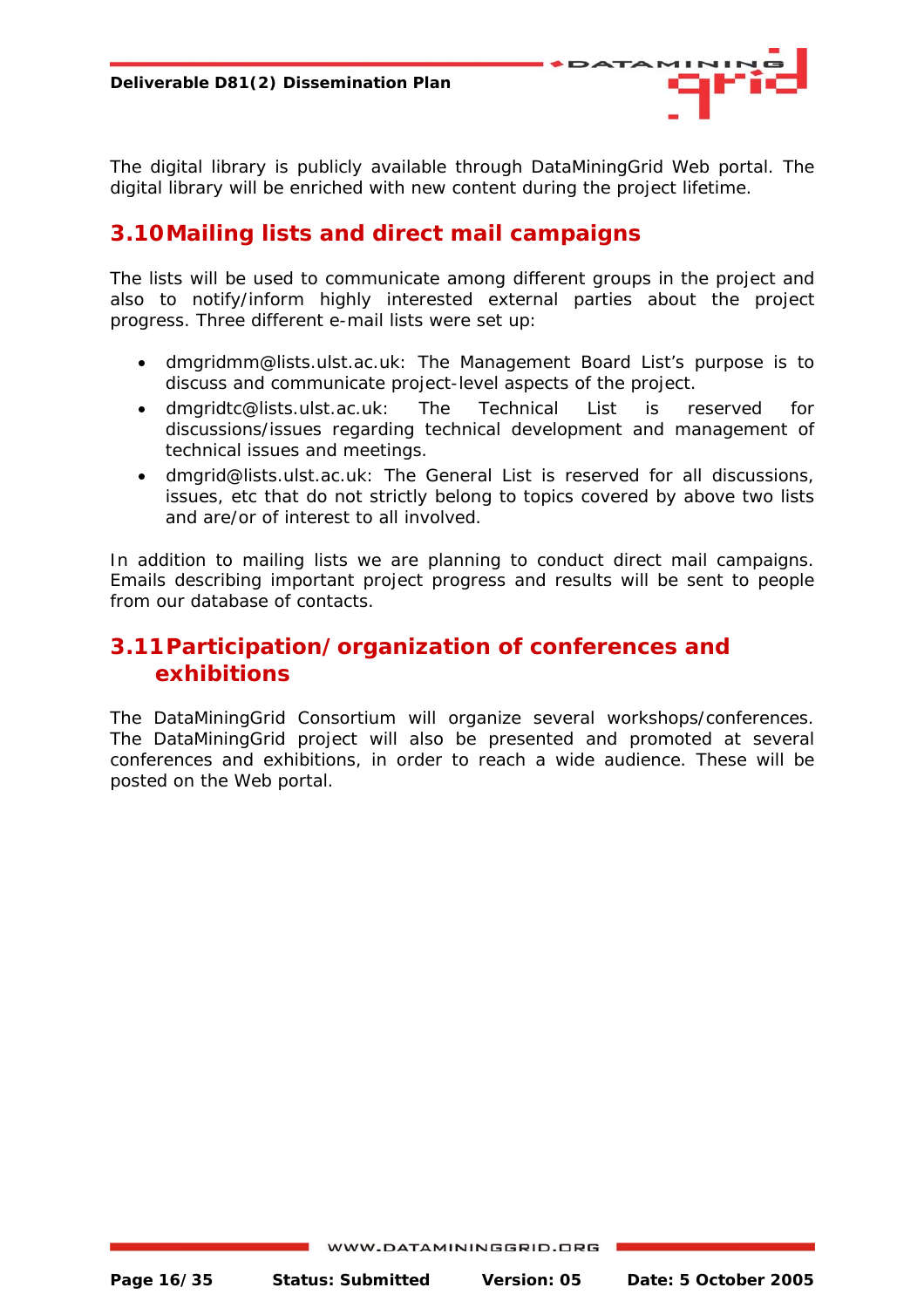<span id="page-15-0"></span>The digital library is publicly available through DataMiningGrid Web portal. The digital library will be enriched with new content during the project lifetime.

#### **3.10 Mailing lists and direct mail campaigns**

The lists will be used to communicate among different groups in the project and also to notify/inform highly interested external parties about the project progress. Three different e-mail lists were set up:

- dmgridmm@lists.ulst.ac.uk: The Management Board List's purpose is to discuss and communicate project-level aspects of the project.
- dmgridtc@lists.ulst.ac.uk: The Technical List is reserved for discussions/issues regarding technical development and management of technical issues and meetings.
- dmgrid@lists.ulst.ac.uk: The General List is reserved for all discussions, issues, etc that do not strictly belong to topics covered by above two lists and are/or of interest to all involved.

In addition to mailing lists we are planning to conduct direct mail campaigns. Emails describing important project progress and results will be sent to people from our database of contacts.

#### **3.11 Participation/organization of conferences and exhibitions**

The DataMiningGrid Consortium will organize several workshops/conferences. The DataMiningGrid project will also be presented and promoted at several conferences and exhibitions, in order to reach a wide audience. These will be posted on the Web portal.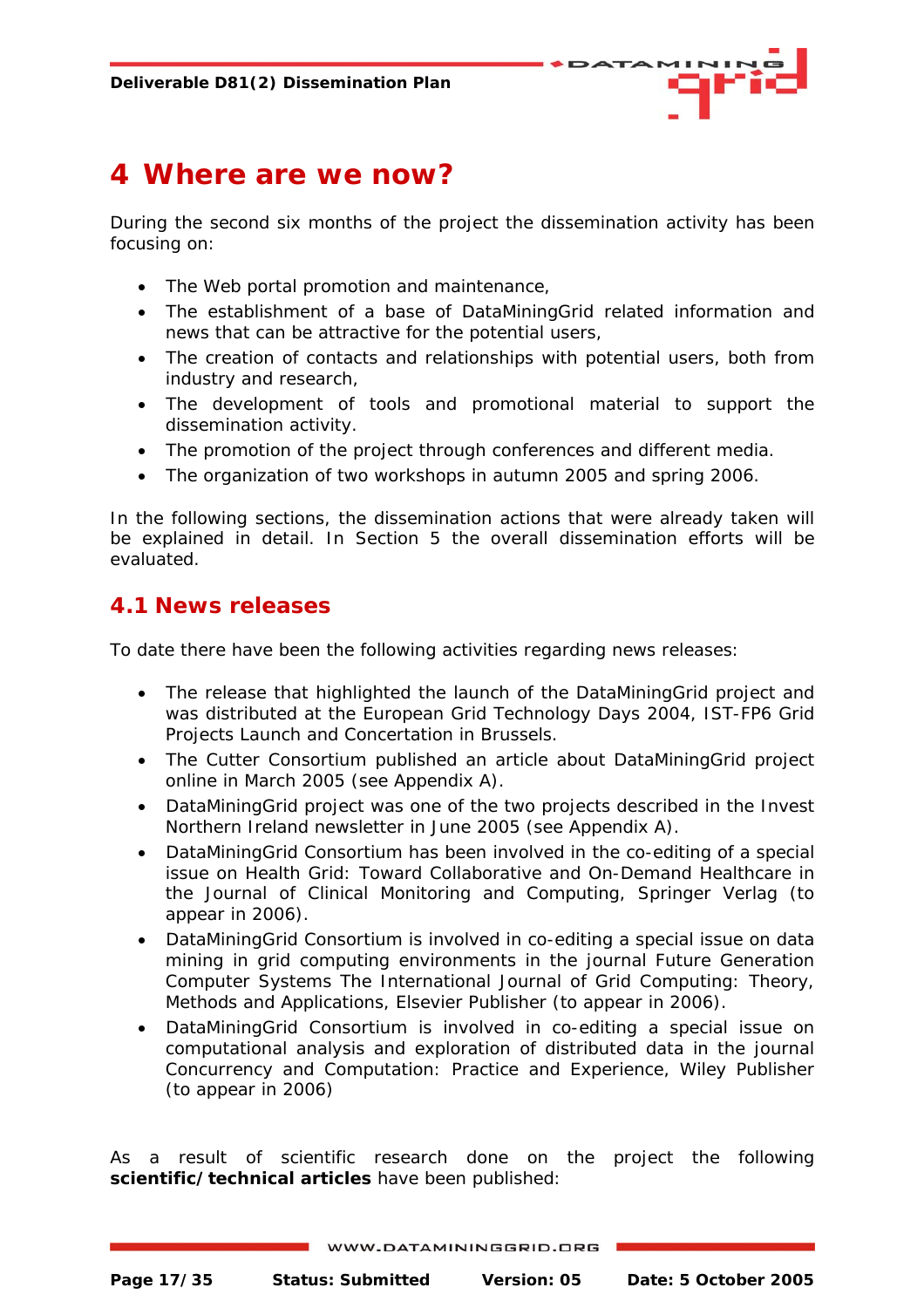

## <span id="page-16-0"></span>**4 Where are we now?**

During the second six months of the project the dissemination activity has been focusing on:

- The Web portal promotion and maintenance,
- The establishment of a base of DataMiningGrid related information and news that can be attractive for the potential users,
- The creation of contacts and relationships with potential users, both from industry and research,
- The development of tools and promotional material to support the dissemination activity.
- The promotion of the project through conferences and different media.
- The organization of two workshops in autumn 2005 and spring 2006.

In the following sections, the dissemination actions that were already taken will be explained in detail. In Section 5 the overall dissemination efforts will be evaluated.

#### **4.1 News releases**

To date there have been the following activities regarding news releases:

- The release that highlighted the launch of the DataMiningGrid project and was distributed at the European Grid Technology Days 2004, IST-FP6 Grid Projects Launch and Concertation in Brussels.
- The Cutter Consortium published an article about DataMiningGrid project online in March 2005 (see Appendix A).
- DataMiningGrid project was one of the two projects described in the Invest Northern Ireland newsletter in June 2005 (see Appendix A).
- DataMiningGrid Consortium has been involved in the co-editing of a special issue on Health Grid: Toward Collaborative and On-Demand Healthcare in the Journal of Clinical Monitoring and Computing, Springer Verlag (to appear in 2006).
- DataMiningGrid Consortium is involved in co-editing a special issue on data mining in grid computing environments in the journal Future Generation Computer Systems The International Journal of Grid Computing: Theory, Methods and Applications, Elsevier Publisher (to appear in 2006).
- DataMiningGrid Consortium is involved in co-editing a special issue on computational analysis and exploration of distributed data in the journal Concurrency and Computation: Practice and Experience, Wiley Publisher (to appear in 2006)

As a result of scientific research done on the project the following **scientific/technical articles** have been published: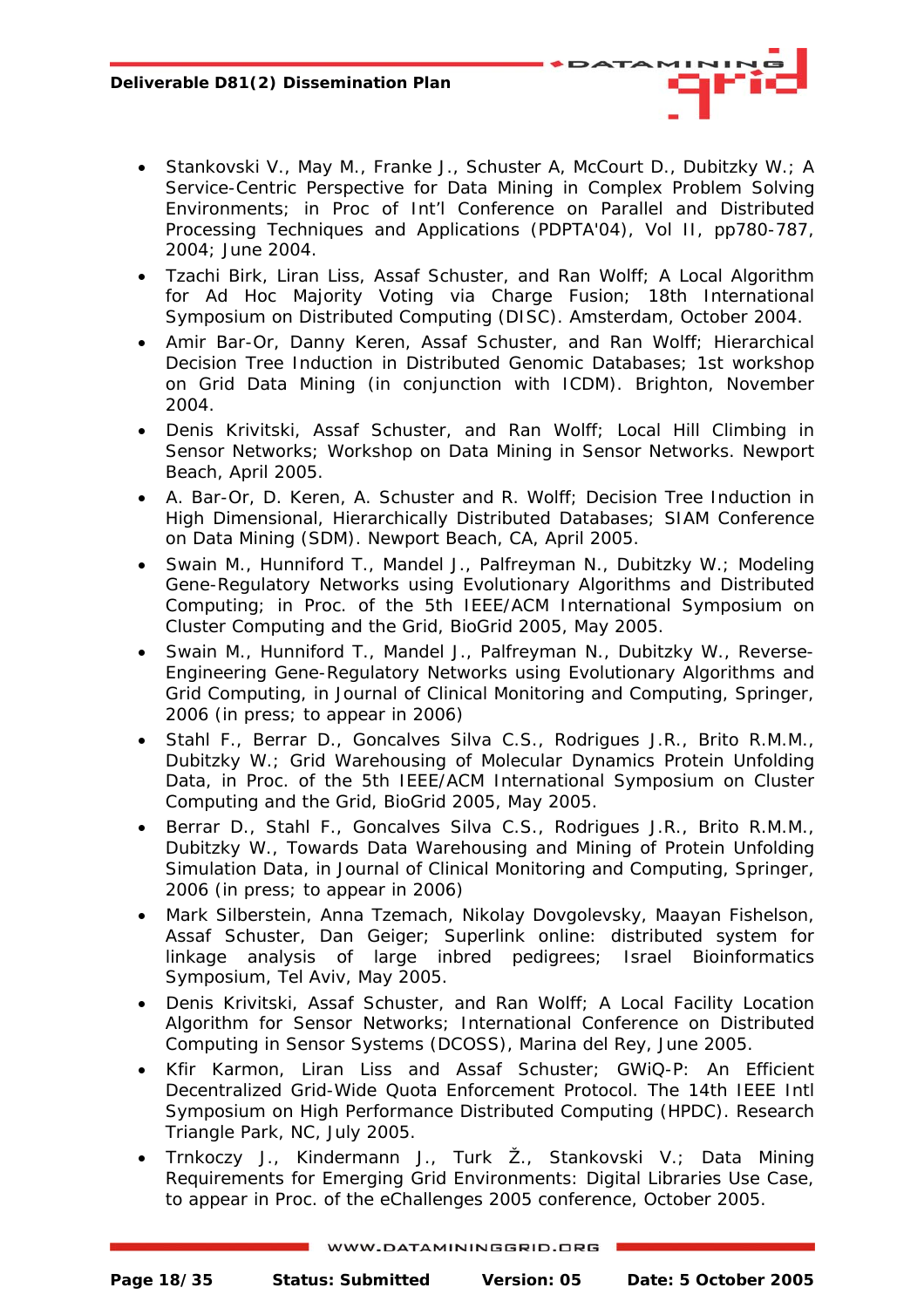- Stankovski V., May M., Franke J., Schuster A, McCourt D., Dubitzky W.; *A Service-Centric Perspective for Data Mining in Complex Problem Solving Environments*; in Proc of Int'l Conference on Parallel and Distributed Processing Techniques and Applications (PDPTA'04), Vol II, pp780-787, 2004; June 2004.
- Tzachi Birk, Liran Liss, Assaf Schuster, and Ran Wolff; *A Local Algorithm for Ad Hoc Majority Voting via Charge Fusion*; 18th International Symposium on Distributed Computing (DISC). Amsterdam, October 2004.
- Amir Bar-Or, Danny Keren, Assaf Schuster, and Ran Wolff; *Hierarchical Decision Tree Induction in Distributed Genomic Databases*; 1st workshop on Grid Data Mining (in conjunction with ICDM). Brighton, November 2004.
- Denis Krivitski, Assaf Schuster, and Ran Wolff; *Local Hill Climbing in Sensor Networks*; Workshop on Data Mining in Sensor Networks. Newport Beach, April 2005.
- A. Bar-Or, D. Keren, A. Schuster and R. Wolff; *Decision Tree Induction in High Dimensional, Hierarchically Distributed Databases*; SIAM Conference on Data Mining (SDM). Newport Beach, CA, April 2005.
- Swain M., Hunniford T., Mandel J., Palfreyman N., Dubitzky W.; *Modeling Gene-Regulatory Networks using Evolutionary Algorithms and Distributed Computing*; in Proc. of the 5th IEEE/ACM International Symposium on Cluster Computing and the Grid, BioGrid 2005, May 2005.
- Swain M., Hunniford T., Mandel J., Palfreyman N., Dubitzky W., Reverse-Engineering Gene-Regulatory Networks using Evolutionary Algorithms and Grid Computing, in Journal of Clinical Monitoring and Computing, Springer, 2006 (in press; to appear in 2006)
- Stahl F., Berrar D., Goncalves Silva C.S., Rodrigues J.R., Brito R.M.M., Dubitzky W.; *Grid Warehousing of Molecular Dynamics Protein Unfolding Data*, in Proc. of the 5th IEEE/ACM International Symposium on Cluster Computing and the Grid, BioGrid 2005, May 2005.
- Berrar D., Stahl F., Goncalves Silva C.S., Rodrigues J.R., Brito R.M.M., Dubitzky W., Towards Data Warehousing and Mining of Protein Unfolding Simulation Data, in Journal of Clinical Monitoring and Computing, Springer, 2006 (in press; to appear in 2006)
- Mark Silberstein, Anna Tzemach, Nikolay Dovgolevsky, Maayan Fishelson, Assaf Schuster, Dan Geiger; *Superlink online: distributed system for linkage analysis of large inbred pedigrees*; Israel Bioinformatics Symposium, Tel Aviv, May 2005.
- Denis Krivitski, Assaf Schuster, and Ran Wolff; *A Local Facility Location Algorithm for Sensor Networks*; International Conference on Distributed Computing in Sensor Systems (DCOSS), Marina del Rey, June 2005.
- Kfir Karmon, Liran Liss and Assaf Schuster; *GWiQ-P: An Efficient Decentralized Grid-Wide Quota Enforcement Protocol*. The 14th IEEE Intl Symposium on High Performance Distributed Computing (HPDC). Research Triangle Park, NC, July 2005.
- Trnkoczy J., Kindermann J., Turk Ž., Stankovski V.; *Data Mining Requirements for Emerging Grid Environments: Digital Libraries Use Case*, to appear in Proc. of the eChallenges 2005 conference, October 2005.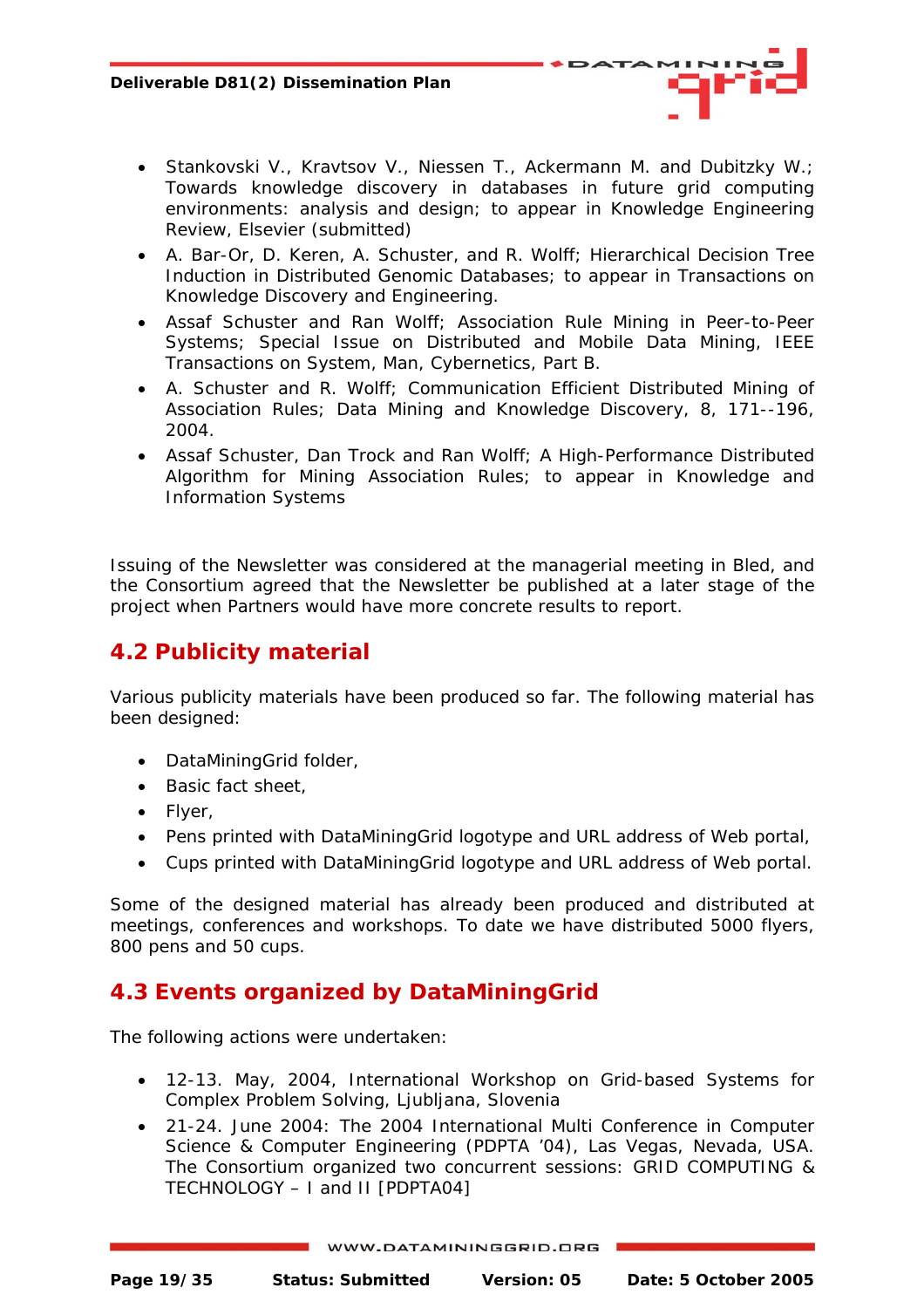- 
- <span id="page-18-0"></span>• Stankovski V., Kravtsov V., Niessen T., Ackermann M. and Dubitzky W.; *Towards knowledge discovery in databases in future grid computing environments: analysis and design*; to appear in Knowledge Engineering Review, Elsevier (submitted)
- A. Bar-Or, D. Keren, A. Schuster, and R. Wolff; *Hierarchical Decision Tree Induction in Distributed Genomic Databases*; to appear in Transactions on Knowledge Discovery and Engineering.
- Assaf Schuster and Ran Wolff; *Association Rule Mining in Peer-to-Peer Systems*; Special Issue on Distributed and Mobile Data Mining, IEEE Transactions on System, Man, Cybernetics, Part B.
- A. Schuster and R. Wolff; *Communication Efficient Distributed Mining of Association Rules*; Data Mining and Knowledge Discovery, 8, 171--196, 2004.
- Assaf Schuster, Dan Trock and Ran Wolff; *A High-Performance Distributed Algorithm for Mining Association Rules*; to appear in Knowledge and Information Systems

Issuing of the Newsletter was considered at the managerial meeting in Bled, and the Consortium agreed that the Newsletter be published at a later stage of the project when Partners would have more concrete results to report.

## **4.2 Publicity material**

Various publicity materials have been produced so far. The following material has been designed:

- DataMiningGrid folder,
- Basic fact sheet,
- Flyer,
- Pens printed with DataMiningGrid logotype and URL address of Web portal,
- Cups printed with DataMiningGrid logotype and URL address of Web portal.

Some of the designed material has already been produced and distributed at meetings, conferences and workshops. To date we have distributed 5000 flyers, 800 pens and 50 cups.

## **4.3 Events organized by DataMiningGrid**

The following actions were undertaken:

- 12-13. May, 2004, International Workshop on Grid-based Systems for Complex Problem Solving, Ljubljana, Slovenia
- 21-24. June 2004: The 2004 International Multi Conference in Computer Science & Computer Engineering (PDPTA '04), Las Vegas, Nevada, USA. The Consortium organized two concurrent sessions: GRID COMPUTING & TECHNOLOGY – I and II [PDPTA04]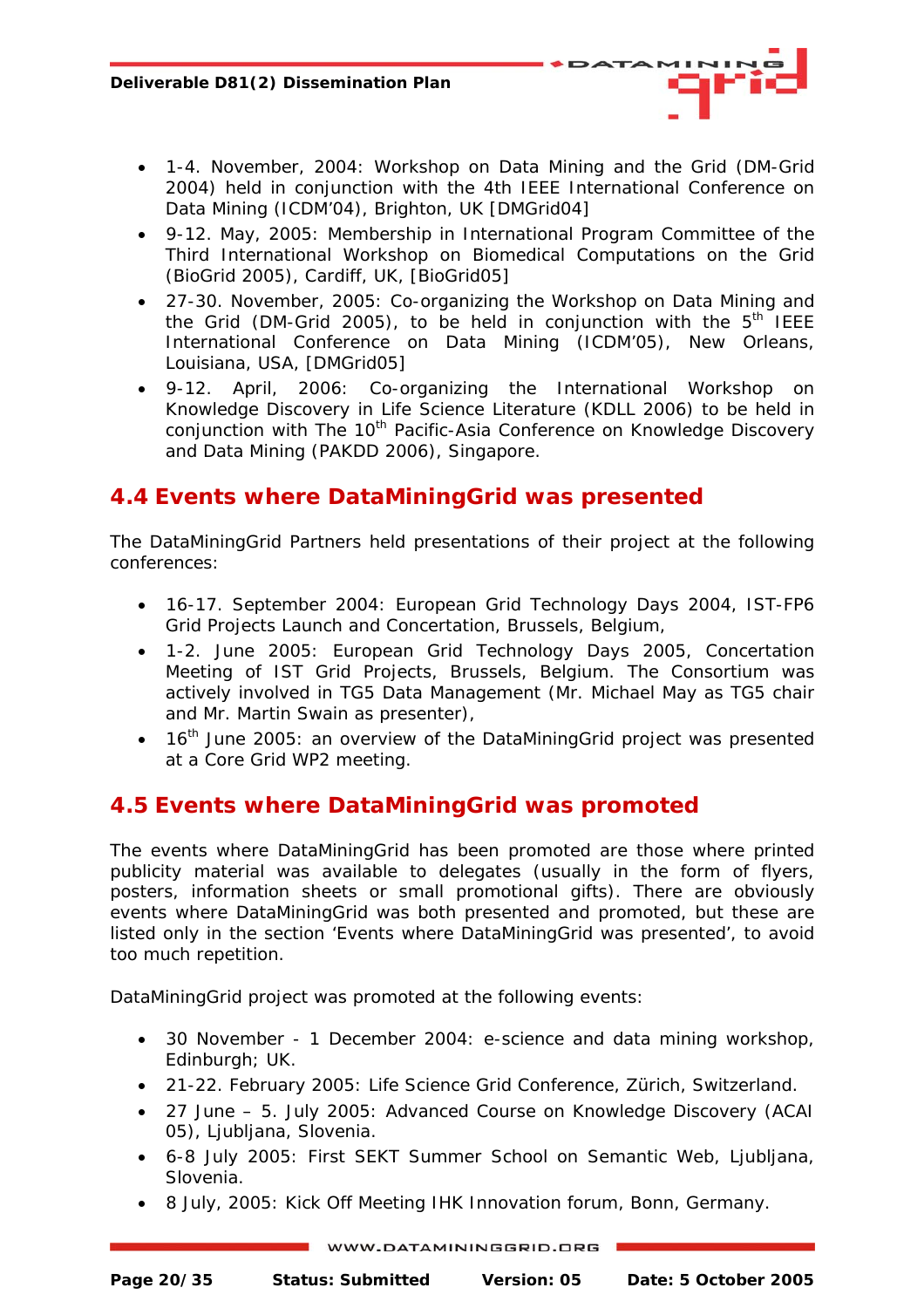- <span id="page-19-0"></span>• 1-4. November, 2004: Workshop on Data Mining and the Grid (DM-Grid 2004) held in conjunction with the 4th IEEE International Conference on Data Mining (ICDM'04), Brighton, UK [DMGrid04]
- 9-12. May, 2005: Membership in International Program Committee of the Third International Workshop on Biomedical Computations on the Grid (BioGrid 2005), Cardiff, UK, [BioGrid05]
- 27-30. November, 2005: Co-organizing the Workshop on Data Mining and the Grid (DM-Grid 2005), to be held in conjunction with the  $5<sup>th</sup>$  IEEE International Conference on Data Mining (ICDM'05), New Orleans, Louisiana, USA, [DMGrid05]
- 9-12. April, 2006: Co-organizing the International Workshop on Knowledge Discovery in Life Science Literature (KDLL 2006) to be held in conjunction with The 10<sup>th</sup> Pacific-Asia Conference on Knowledge Discovery and Data Mining (PAKDD 2006), Singapore.

#### **4.4 Events where DataMiningGrid was presented**

The DataMiningGrid Partners held presentations of their project at the following conferences:

- 16-17. September 2004: European Grid Technology Days 2004, IST-FP6 Grid Projects Launch and Concertation, Brussels, Belgium,
- 1-2. June 2005: European Grid Technology Days 2005, Concertation Meeting of IST Grid Projects, Brussels, Belgium. The Consortium was actively involved in TG5 Data Management (Mr. Michael May as TG5 chair and Mr. Martin Swain as presenter),
- $\bullet$  16<sup>th</sup> June 2005: an overview of the DataMiningGrid project was presented at a Core Grid WP2 meeting.

#### **4.5 Events where DataMiningGrid was promoted**

The events where DataMiningGrid has been promoted are those where printed publicity material was available to delegates (usually in the form of flyers, posters, information sheets or small promotional gifts). There are obviously events where DataMiningGrid was both presented and promoted, but these are listed only in the section 'Events where DataMiningGrid was presented', to avoid too much repetition.

DataMiningGrid project was promoted at the following events:

- 30 November 1 December 2004: e-science and data mining workshop, Edinburgh; UK.
- 21-22. February 2005: Life Science Grid Conference, Zürich, Switzerland.
- 27 June 5. July 2005: Advanced Course on Knowledge Discovery (ACAI 05), Ljubljana, Slovenia.
- 6-8 July 2005: First SEKT Summer School on Semantic Web, Ljubljana, Slovenia.
- 8 July, 2005: Kick Off Meeting IHK Innovation forum, Bonn, Germany.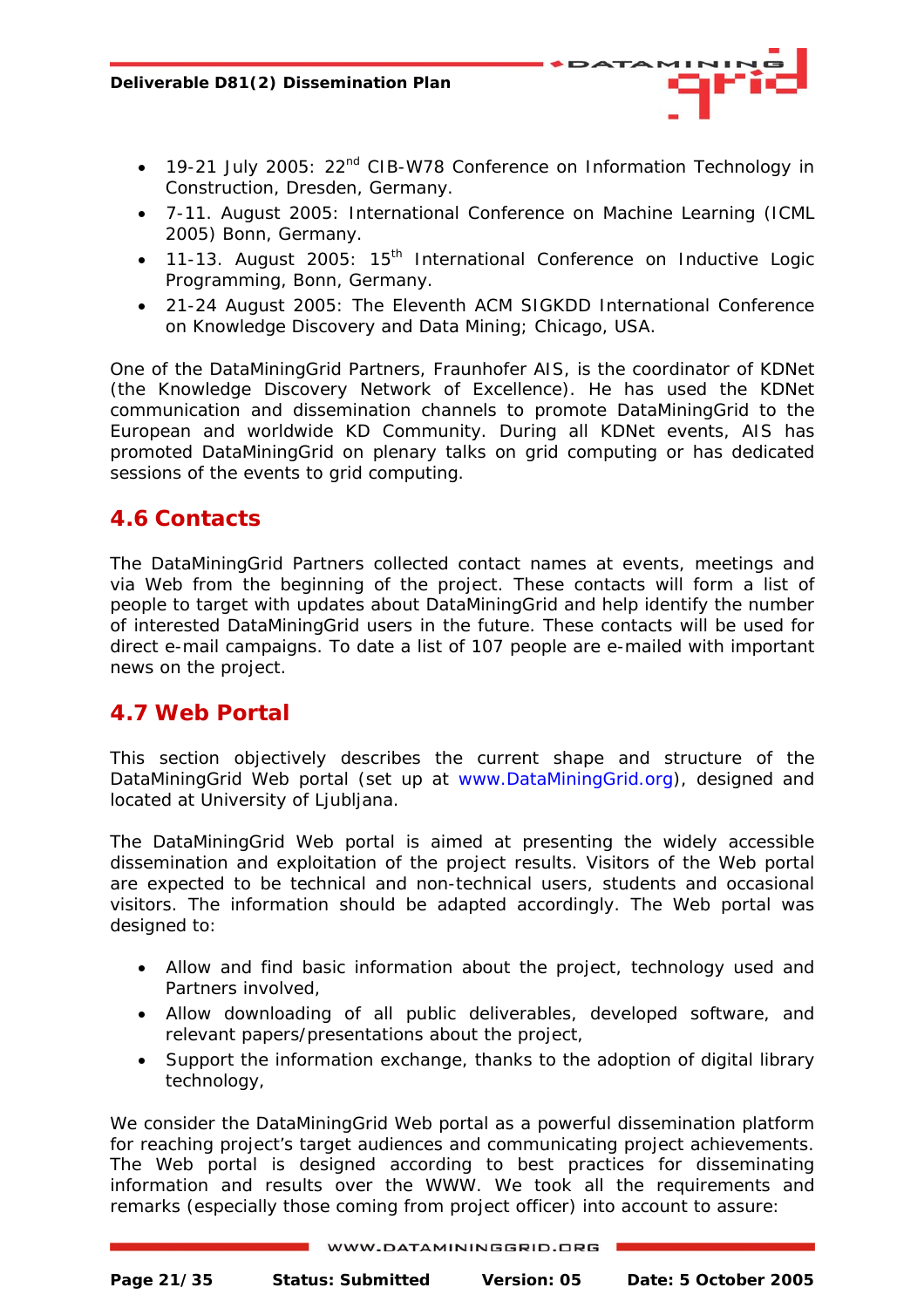- <span id="page-20-0"></span>• 19-21 July 2005: 22<sup>nd</sup> CIB-W78 Conference on Information Technology in Construction, Dresden, Germany.
- 7-11. August 2005: International Conference on Machine Learning (ICML 2005) Bonn, Germany.
- 11-13. August 2005:  $15<sup>th</sup>$  International Conference on Inductive Logic Programming, Bonn, Germany.
- 21-24 August 2005: The Eleventh ACM SIGKDD International Conference on Knowledge Discovery and Data Mining; Chicago, USA.

One of the DataMiningGrid Partners, Fraunhofer AIS, is the coordinator of KDNet (the Knowledge Discovery Network of Excellence). He has used the KDNet communication and dissemination channels to promote DataMiningGrid to the European and worldwide KD Community. During all KDNet events, AIS has promoted DataMiningGrid on plenary talks on grid computing or has dedicated sessions of the events to grid computing.

#### **4.6 Contacts**

The DataMiningGrid Partners collected contact names at events, meetings and via Web from the beginning of the project. These contacts will form a list of people to target with updates about DataMiningGrid and help identify the number of interested DataMiningGrid users in the future. These contacts will be used for direct e-mail campaigns. To date a list of 107 people are e-mailed with important news on the project.

#### **4.7 Web Portal**

This section objectively describes the current shape and structure of the DataMiningGrid Web portal (set up at www.DataMiningGrid.org), designed and located at University of Ljubljana.

The DataMiningGrid Web portal is aimed at presenting the widely accessible dissemination and exploitation of the project results. Visitors of the Web portal are expected to be technical and non-technical users, students and occasional visitors. The information should be adapted accordingly. The Web portal was designed to:

- Allow and find basic information about the project, technology used and Partners involved,
- Allow downloading of all public deliverables, developed software, and relevant papers/presentations about the project,
- Support the information exchange, thanks to the adoption of digital library technology,

We consider the DataMiningGrid Web portal as a powerful dissemination platform for reaching project's target audiences and communicating project achievements. The Web portal is designed according to best practices for disseminating information and results over the WWW. We took all the requirements and remarks (especially those coming from project officer) into account to assure: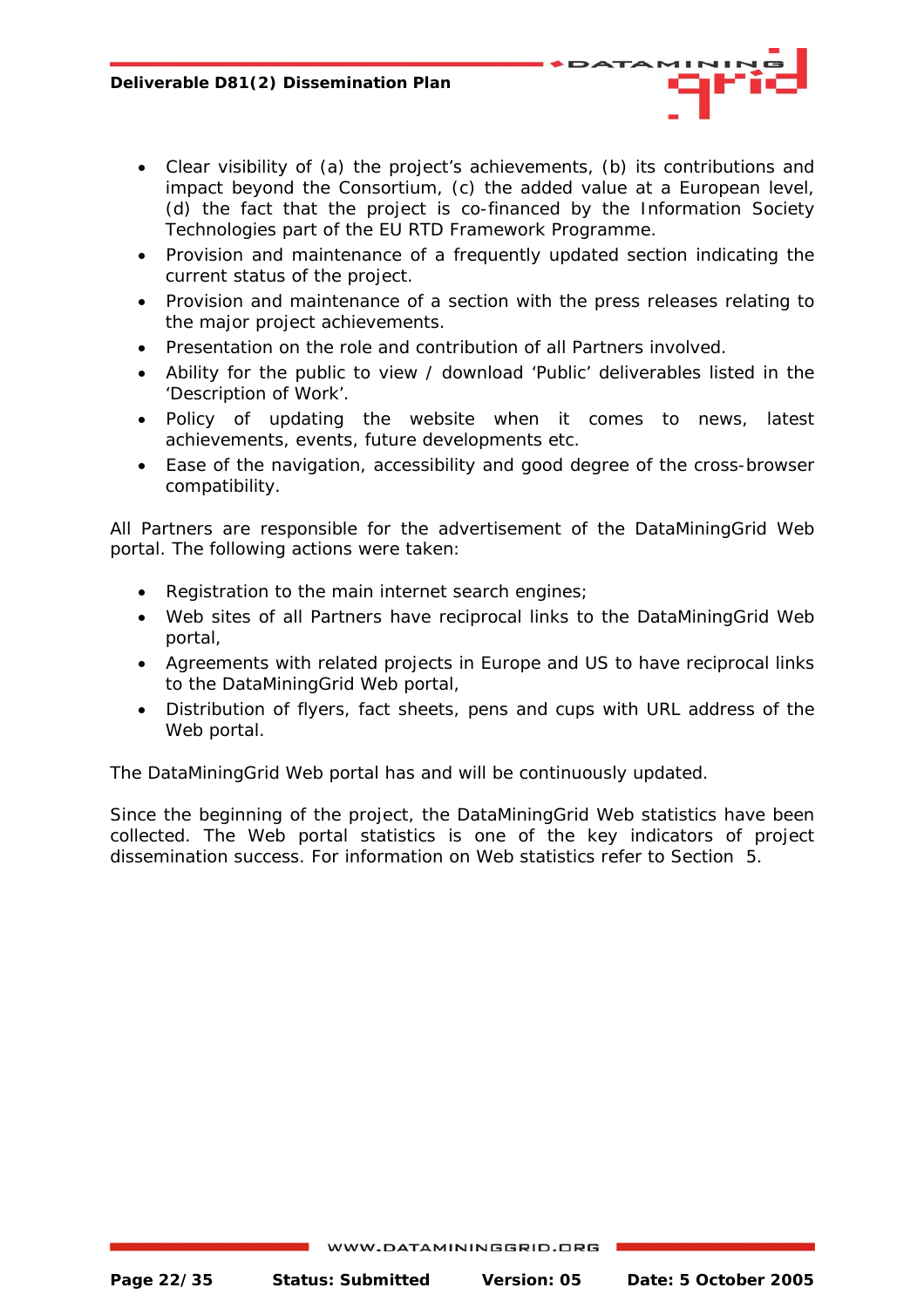- Clear visibility of (a) the project's achievements, (b) its contributions and impact beyond the Consortium, (c) the added value at a European level, (d) the fact that the project is co-financed by the Information Society Technologies part of the EU RTD Framework Programme.
- Provision and maintenance of a frequently updated section indicating the current status of the project.
- Provision and maintenance of a section with the press releases relating to the major project achievements.
- Presentation on the role and contribution of all Partners involved.
- Ability for the public to view / download 'Public' deliverables listed in the 'Description of Work'.
- Policy of updating the website when it comes to news, latest achievements, events, future developments etc.
- Ease of the navigation, accessibility and good degree of the cross-browser compatibility.

All Partners are responsible for the advertisement of the DataMiningGrid Web portal. The following actions were taken:

- Registration to the main internet search engines;
- Web sites of all Partners have reciprocal links to the DataMiningGrid Web portal,
- Agreements with related projects in Europe and US to have reciprocal links to the DataMiningGrid Web portal,
- Distribution of flyers, fact sheets, pens and cups with URL address of the Web portal.

The DataMiningGrid Web portal has and will be continuously updated.

Since the beginning of the project, the DataMiningGrid Web statistics have been collected. The Web portal statistics is one of the key indicators of project dissemination success. For information on Web statistics refer to Section 5.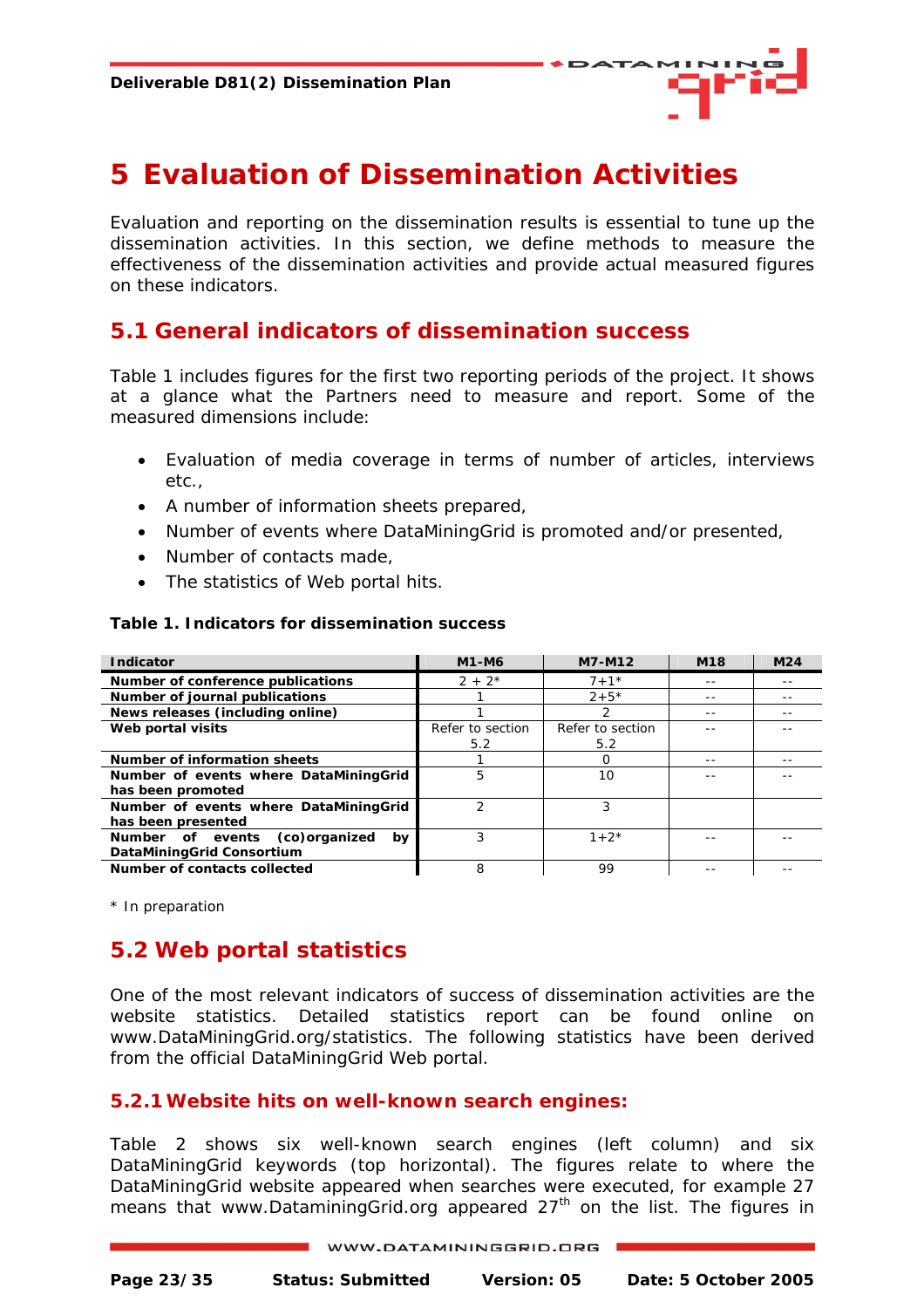

# <span id="page-22-0"></span>**5 Evaluation of Dissemination Activities**

Evaluation and reporting on the dissemination results is essential to tune up the dissemination activities. In this section, we define methods to measure the effectiveness of the dissemination activities and provide actual measured figures on these indicators.

#### **5.1 General indicators of dissemination success**

Table 1 includes figures for the first two reporting periods of the project. It shows at a glance what the Partners need to measure and report. Some of the measured dimensions include:

- Evaluation of media coverage in terms of number of articles, interviews etc.,
- A number of information sheets prepared,
- Number of events where DataMiningGrid is promoted and/or presented,
- Number of contacts made,
- The statistics of Web portal hits.

#### **Table 1. Indicators for dissemination success**

| <b>Indicator</b>                        | M1-M6            | M7-M12           | M <sub>18</sub> | M <sub>24</sub> |
|-----------------------------------------|------------------|------------------|-----------------|-----------------|
| Number of conference publications       | $2 + 2^{*}$      | $7 + 1*$         | --              |                 |
| Number of journal publications          |                  | $2 + 5*$         |                 |                 |
| News releases (including online)        |                  | 2                | --              |                 |
| Web portal visits                       | Refer to section | Refer to section |                 |                 |
|                                         | 5.2              | 5.2              |                 |                 |
| Number of information sheets            |                  | Ο                |                 |                 |
| Number of events where DataMiningGrid   | 5                | 10               |                 |                 |
| has been promoted                       |                  |                  |                 |                 |
| Number of events where DataMiningGrid   | າ                | 3                |                 |                 |
| has been presented                      |                  |                  |                 |                 |
| Number of events<br>(co)organized<br>bv |                  | $1 + 2^*$        |                 |                 |
| DataMiningGrid Consortium               |                  |                  |                 |                 |
| Number of contacts collected            | 8                | 99               |                 |                 |

\* In preparation

## **5.2 Web portal statistics**

One of the most relevant indicators of success of dissemination activities are the website statistics. Detailed statistics report can be found online on [www.DataMiningGrid.org/statistics](http://www.datamininggrid.org/statistics). The following statistics have been derived from the official DataMiningGrid Web portal.

#### **5.2.1Website hits on well-known search engines:**

Table 2 shows six well-known search engines (left column) and six DataMiningGrid keywords (top horizontal). The figures relate to where the DataMiningGrid website appeared when searches were executed, for example 27 means that www.DataminingGrid.org appeared 27<sup>th</sup> on the list. The figures in

| WWW.DATAMININGGRID.ORG |
|------------------------|
|                        |

**Page 23/35 Status: Submitted Version: 05 Date: 5 October 2005**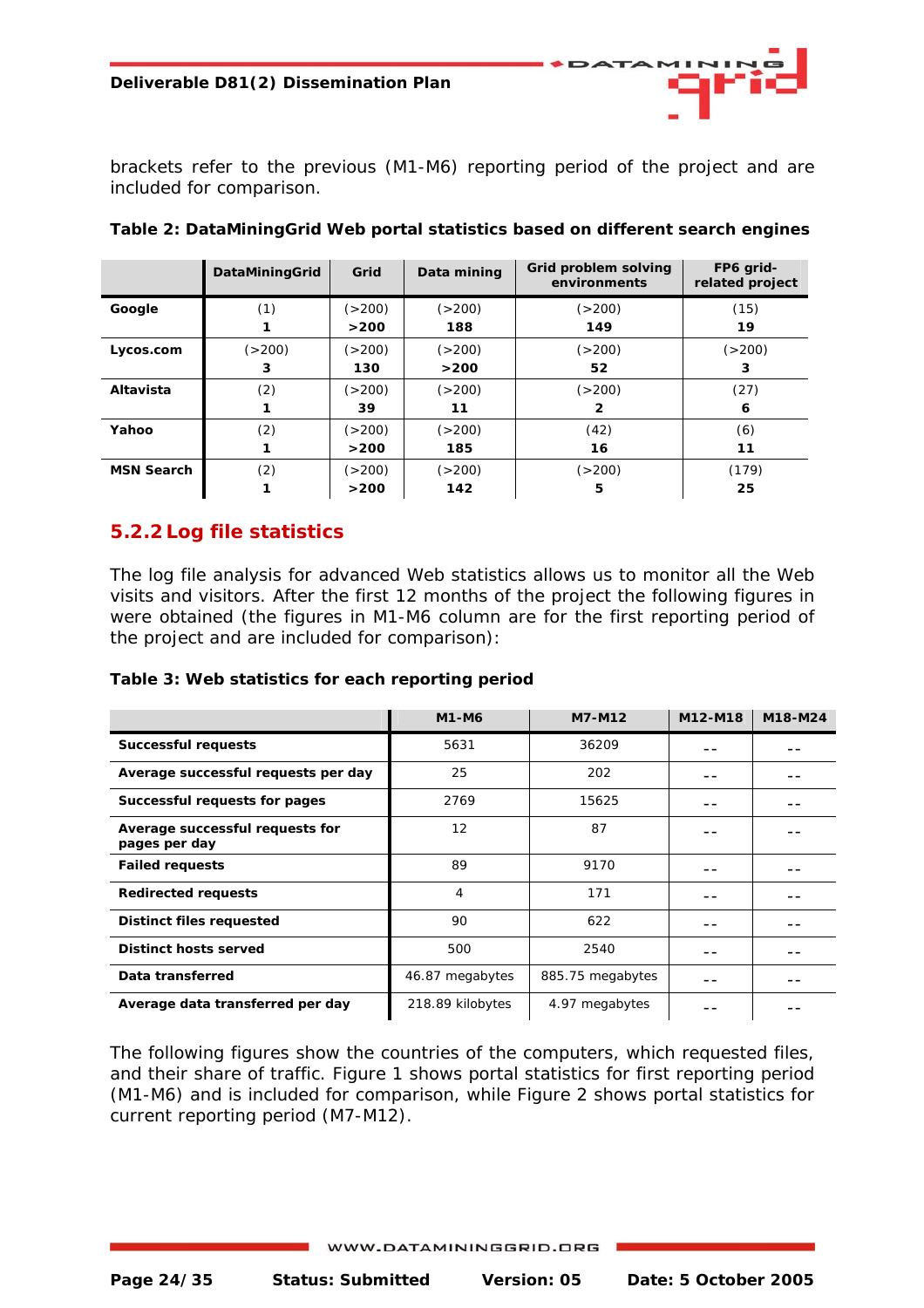<span id="page-23-0"></span>brackets refer to the previous (M1-M6) reporting period of the project and are included for comparison.

|                   | DataMiningGrid    | Grid     | Data mining | Grid problem solving<br>environments | FP6 grid-<br>related project |
|-------------------|-------------------|----------|-------------|--------------------------------------|------------------------------|
| Google            | (1)               | ( > 200) | ( > 200)    | ( > 200)                             | (15)                         |
|                   |                   | >200     | 188         | 149                                  | 19                           |
| Lycos.com         | ( > 200)          | ( > 200) | ( > 200)    | ( > 200)                             | (>200)                       |
|                   | 3                 | 130      | >200        | 52                                   | 3                            |
| Altavista         | (2)               | ( > 200) | ( > 200)    | ( > 200)                             | (27)                         |
|                   |                   | 39       | 11          | 2                                    | 6                            |
| Yahoo             | (2)               | ( > 200) | ( > 200)    | (42)                                 | (6)                          |
|                   |                   | >200     | 185         | 16                                   | 11                           |
| <b>MSN Search</b> | $\left( 2\right)$ | ( > 200) | (>200)      | ( > 200)                             | (179)                        |
|                   |                   | >200     | 142         | 5                                    | 25                           |

| Table 2: DataMiningGrid Web portal statistics based on different search engines |  |
|---------------------------------------------------------------------------------|--|
|---------------------------------------------------------------------------------|--|

#### **5.2.2 Log file statistics**

The log file analysis for advanced Web statistics allows us to monitor all the Web visits and visitors. After the first 12 months of the project the following figures in were obtained (the figures in M1-M6 column are for the first reporting period of the project and are included for comparison):

#### **Table 3: Web statistics for each reporting period**

|                                                  | M1-M6            | M7-M12           | M12-M18 | M18-M24 |
|--------------------------------------------------|------------------|------------------|---------|---------|
| <b>Successful requests</b>                       | 5631             | 36209            |         |         |
| Average successful requests per day              | 25               | 202              |         |         |
| Successful requests for pages                    | 2769             | 15625            |         |         |
| Average successful requests for<br>pages per day | 12               | 87               |         |         |
| <b>Failed requests</b>                           | 89               | 9170             |         |         |
| <b>Redirected requests</b>                       | 4                | 171              |         |         |
| Distinct files requested                         | 90               | 622              |         |         |
| Distinct hosts served                            | 500              | 2540             |         |         |
| Data transferred                                 | 46.87 megabytes  | 885.75 megabytes |         |         |
| Average data transferred per day                 | 218.89 kilobytes | 4.97 megabytes   |         |         |

The following figures show the countries of the computers, which requested files, and their share of traffic. Figure 1 shows portal statistics for first reporting period (M1-M6) and is included for comparison, while Figure 2 shows portal statistics for current reporting period (M7-M12).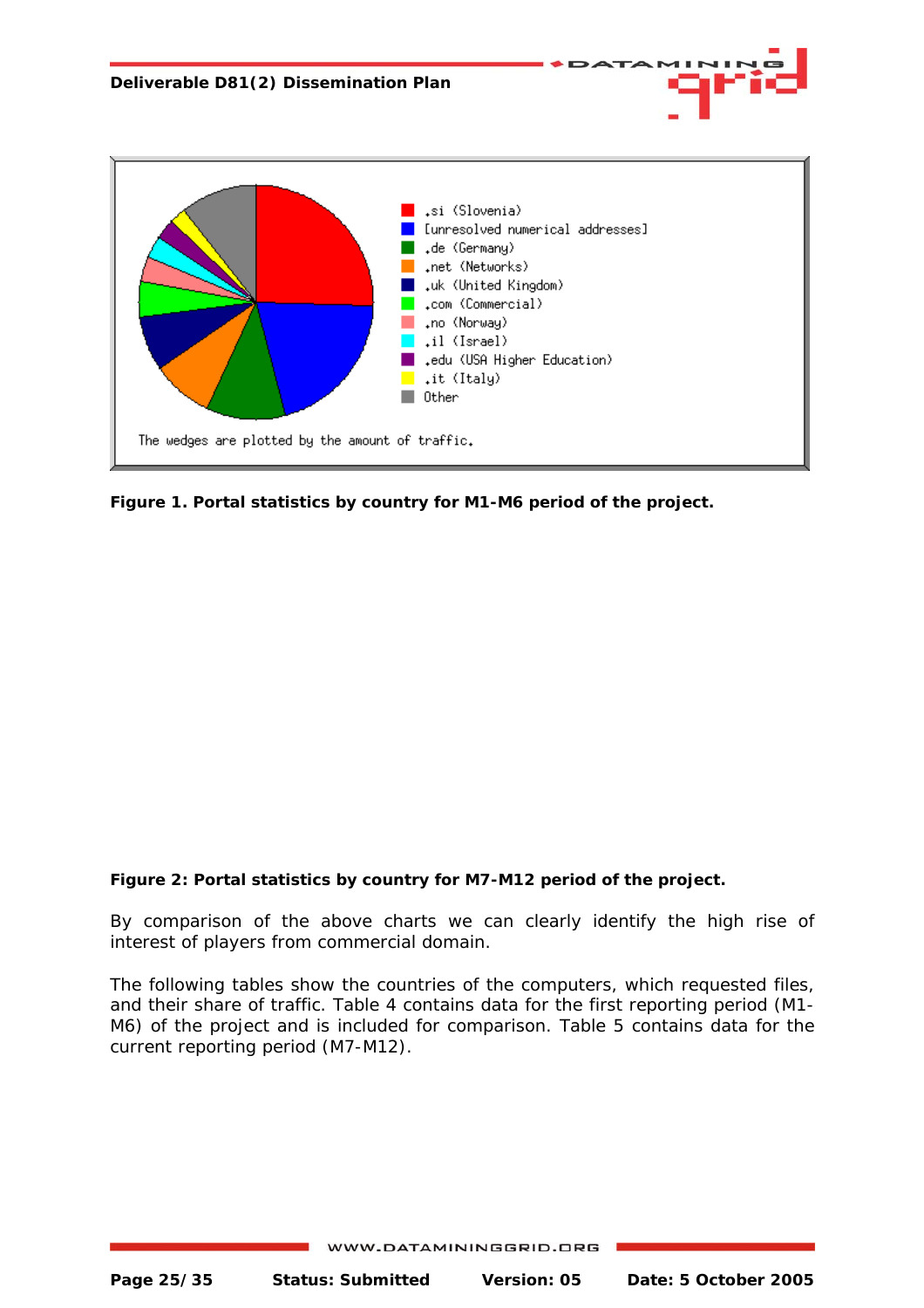

**Figure 1. Portal statistics by country for M1-M6 period of the project.** 

#### **Figure 2: Portal statistics by country for M7-M12 period of the project.**

By comparison of the above charts we can clearly identify the high rise of interest of players from commercial domain.

The following tables show the countries of the computers, which requested files, and their share of traffic. Table 4 contains data for the first reporting period (M1- M6) of the project and is included for comparison. Table 5 contains data for the current reporting period (M7-M12).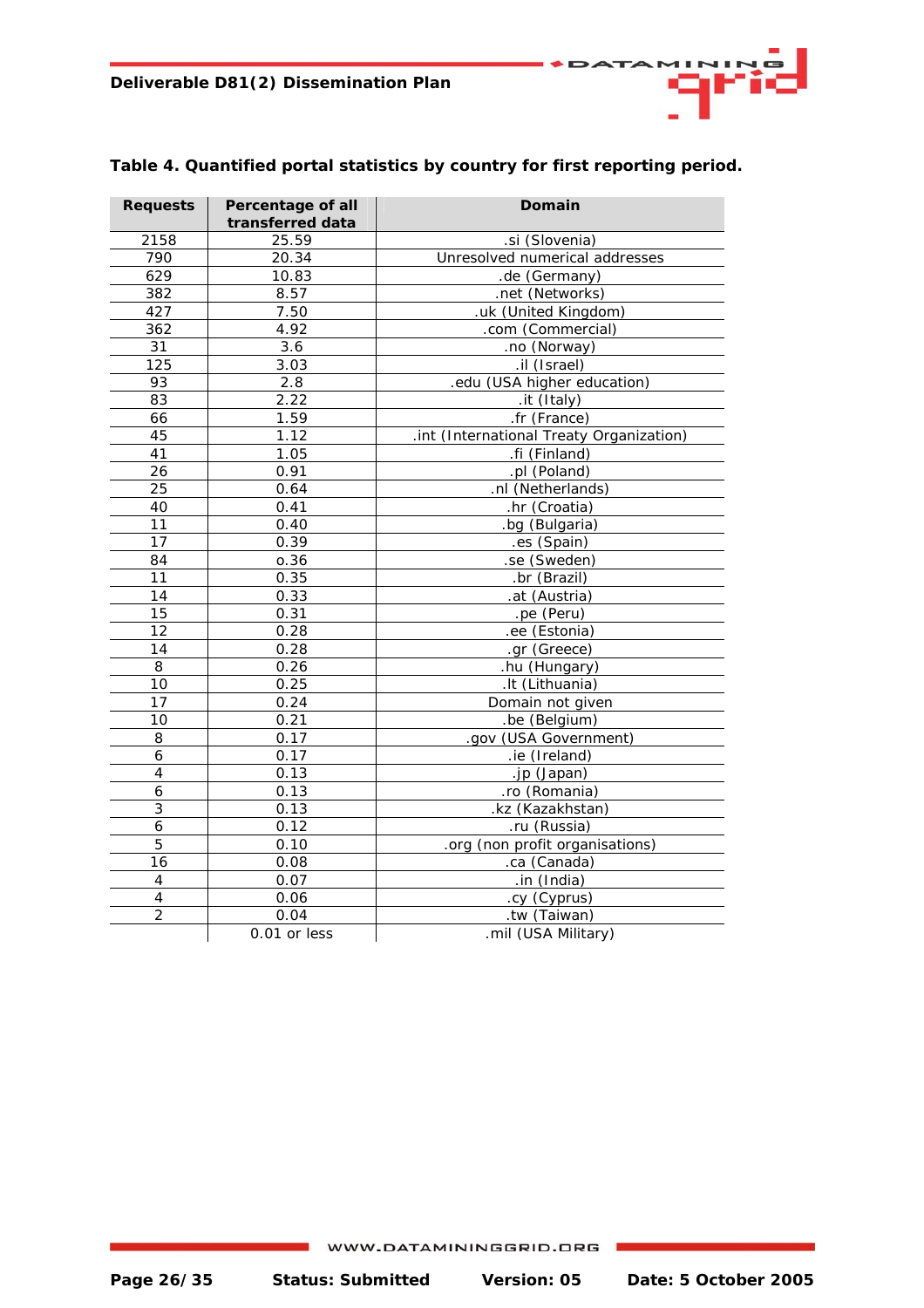| <b>Requests</b> | Percentage of all<br>transferred data | Domain                                   |
|-----------------|---------------------------------------|------------------------------------------|
| 2158            | 25.59                                 | .si (Slovenia)                           |
| 790             | 20.34                                 | Unresolved numerical addresses           |
| 629             | 10.83                                 | .de (Germany)                            |
| 382             | 8.57                                  | .net (Networks)                          |
| 427             | 7.50                                  | .uk (United Kingdom)                     |
| 362             | 4.92                                  | .com (Commercial)                        |
| 31              | 3.6                                   | .no (Norway)                             |
| 125             | 3.03                                  | .il (Israel)                             |
| 93              | 2.8                                   | .edu (USA higher education)              |
| 83              | 2.22                                  | .it (Italy)                              |
| 66              | 1.59                                  | .fr (France)                             |
| 45              | 1.12                                  | .int (International Treaty Organization) |
| 41              | 1.05                                  | .fi (Finland)                            |
| 26              | 0.91                                  | .pl (Poland)                             |
| 25              | 0.64                                  | .nl (Netherlands)                        |
| 40              | 0.41                                  | .hr (Croatia)                            |
| 11              | 0.40                                  | bg (Bulgaria)                            |
| 17              | 0.39                                  | .es (Spain)                              |
| 84              | 0.36                                  | .se (Sweden)                             |
| 11              | 0.35                                  | .br (Brazil)                             |
| 14              | 0.33                                  | .at (Austria)                            |
| 15              | 0.31                                  | .pe (Peru)                               |
| 12              | 0.28                                  | .ee (Estonia)                            |
| 14              | 0.28                                  | .gr (Greece)                             |
| 8               | 0.26                                  | .hu (Hungary)                            |
| 10              | 0.25                                  | .It (Lithuania)                          |
| 17              | 0.24                                  | Domain not given                         |
| 10              | 0.21                                  | .be (Belgium)                            |
| 8               | 0.17                                  | .gov (USA Government)                    |
| $\overline{6}$  | 0.17                                  | .ie (Ireland)                            |
| $\overline{4}$  | 0.13                                  | .jp (Japan)                              |
| 6               | 0.13                                  | .ro (Romania)                            |
| 3               | 0.13                                  | .kz (Kazakhstan)                         |
| $\overline{6}$  | 0.12                                  | .ru (Russia)                             |
| 5               | 0.10                                  | .org (non profit organisations)          |
| 16              | 0.08                                  | .ca (Canada)                             |
| $\overline{4}$  | 0.07                                  | .in (India)                              |
| $\pmb{4}$       | 0.06                                  | .cy (Cyprus)                             |
| $\overline{2}$  | 0.04                                  | .tw (Taiwan)                             |
|                 | 0.01 or less                          | .mil (USA Military)                      |

#### **Table 4. Quantified portal statistics by country for first reporting period.**

11 M I M

×.

**ATA**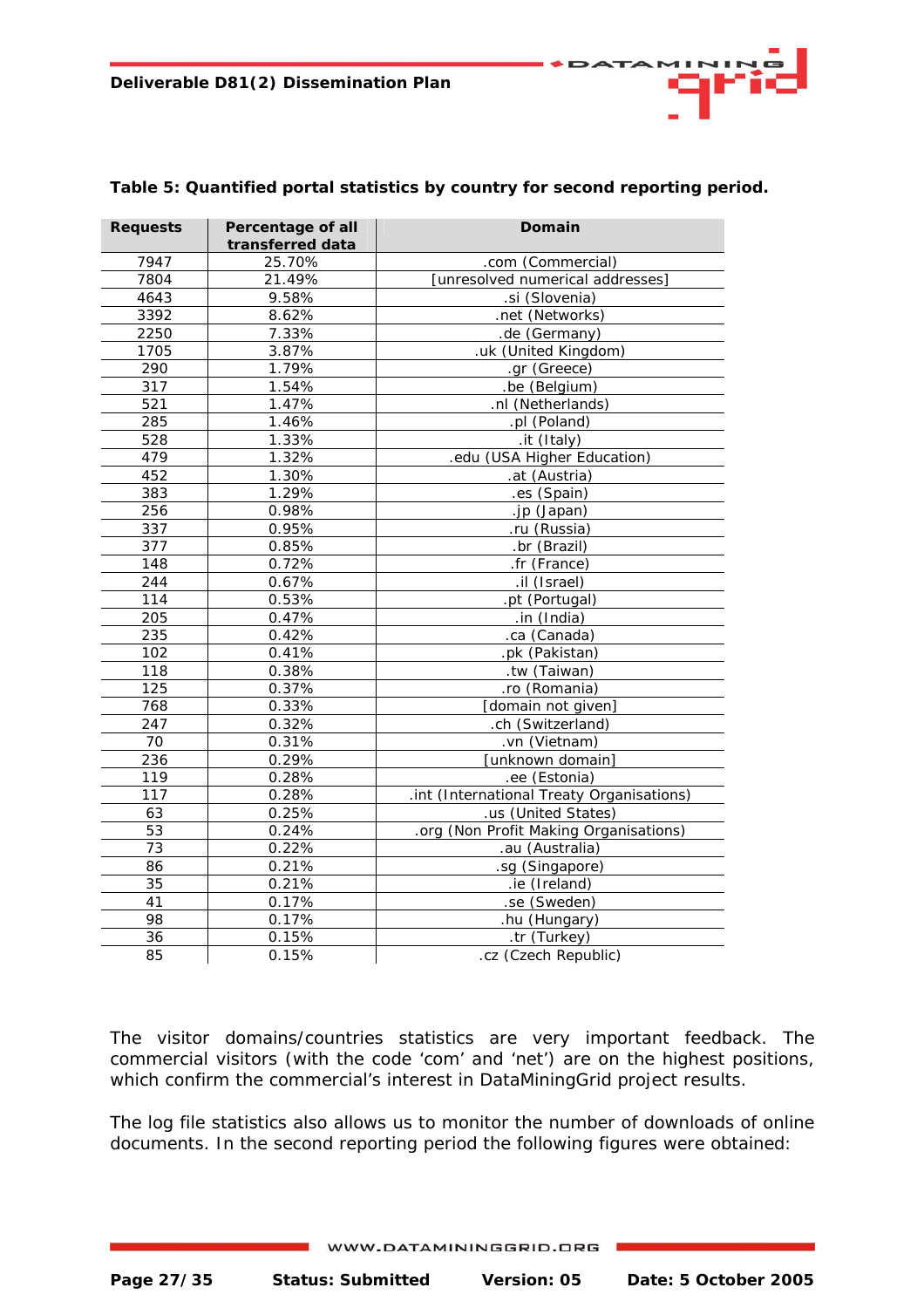| <b>Requests</b> | Percentage of all   | Domain                                    |
|-----------------|---------------------|-------------------------------------------|
|                 | transferred data    |                                           |
| 7947            | 25.70%              | .com (Commercial)                         |
| 7804            | 21.49%              | [unresolved numerical addresses]          |
| 4643            | 9.58%               | .si (Slovenia)                            |
| 3392            | 8.62%               | .net (Networks)                           |
| 2250            | 7.33%               | .de (Germany)                             |
| 1705            | 3.87%               | .uk (United Kingdom)                      |
| 290             | 1.79%               | .gr (Greece)                              |
| 317             | 1.54%               | .be (Belgium)                             |
| 521             | 1.47%               | .nl (Netherlands)                         |
| 285             | 1.46%               | .pl (Poland)                              |
| 528             | 1.33%               | .it (Italy)                               |
| 479             | $\overline{1.32\%}$ | .edu (USA Higher Education)               |
| 452             | 1.30%               | .at (Austria)                             |
| 383             | 1.29%               | .es (Spain)                               |
| 256             | 0.98%               | .jp (Japan)                               |
| 337             | 0.95%               | .ru (Russia)                              |
| 377             | 0.85%               | .br (Brazil)                              |
| 148             | 0.72%               | .fr (France)                              |
| 244             | 0.67%               | .il (Israel)                              |
| 114             | 0.53%               | .pt (Portugal)                            |
| 205             | 0.47%               | .in (India)                               |
| 235             | 0.42%               | .ca (Canada)                              |
| 102             | 0.41%               | .pk (Pakistan)                            |
| 118             | 0.38%               | .tw (Taiwan)                              |
| 125             | 0.37%               | .ro (Romania)                             |
| 768             | 0.33%               | [domain not given]                        |
| 247             | 0.32%               | .ch (Switzerland)                         |
| 70              | 0.31%               | .vn (Vietnam)                             |
| 236             | 0.29%               | [unknown domain]                          |
| 119             | 0.28%               | .ee (Estonia)                             |
| 117             | 0.28%               | .int (International Treaty Organisations) |
| 63              | 0.25%               | .us (United States)                       |
| 53              | 0.24%               | .org (Non Profit Making Organisations)    |
| 73              | 0.22%               | .au (Australia)                           |
| 86              | 0.21%               | .sg (Singapore)                           |
| 35              | $0.21\%$            | .ie (Ireland)                             |
| 41              | 0.17%               | .se (Sweden)                              |
| 98              | 0.17%               | .hu (Hungary)                             |
| 36              | 0.15%               | .tr (Turkey)                              |
| 85              | 0.15%               | .cz (Czech Republic)                      |

#### **Table 5: Quantified portal statistics by country for second reporting period.**

The visitor domains/countries statistics are very important feedback. The commercial visitors (with the code 'com' and 'net') are on the highest positions, which confirm the commercial's interest in DataMiningGrid project results.

The log file statistics also allows us to monitor the number of downloads of online documents. In the second reporting period the following figures were obtained: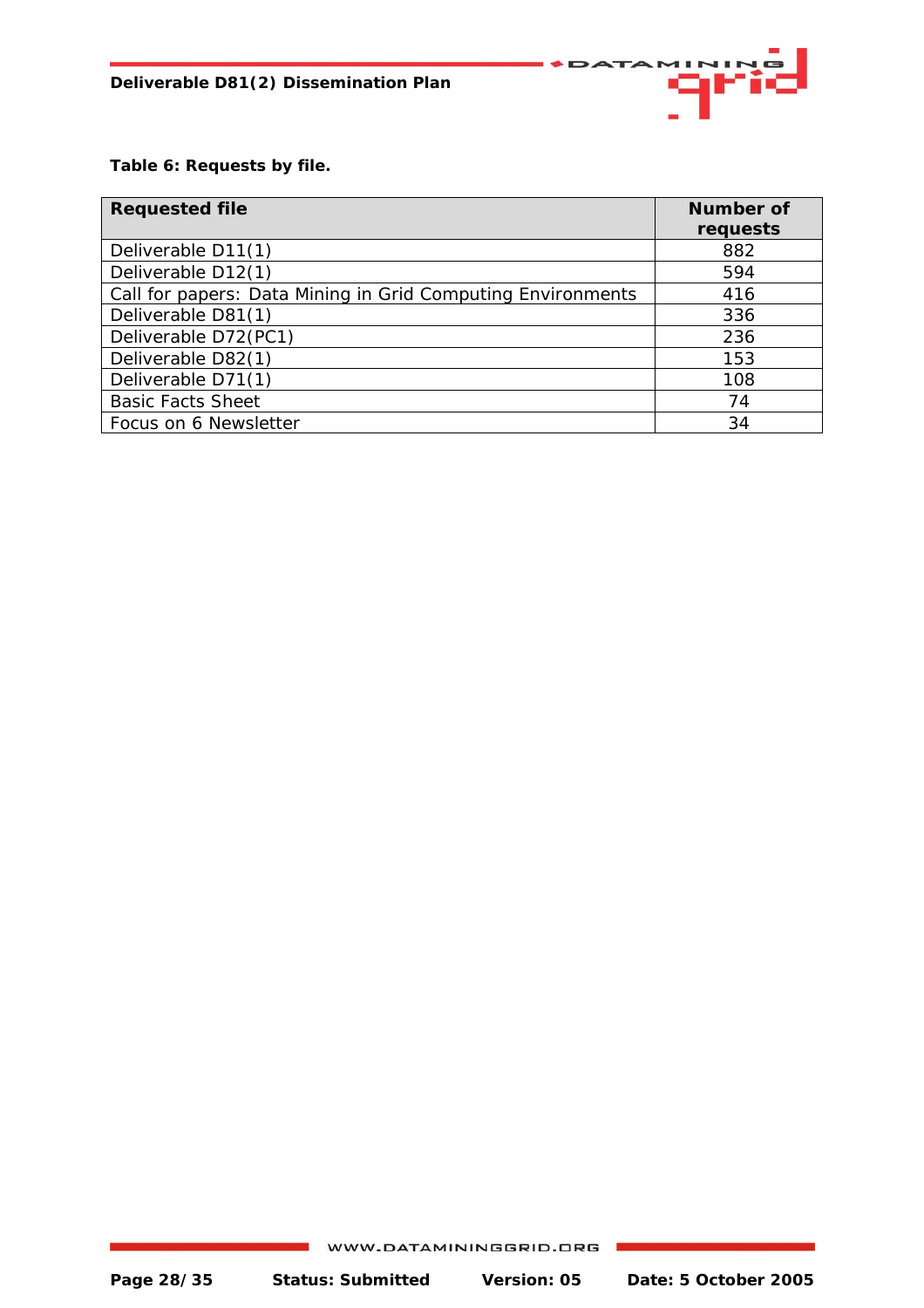

**Table 6: Requests by file.** 

| <b>Requested file</b>                                       | <b>Number of</b> |
|-------------------------------------------------------------|------------------|
|                                                             | requests         |
| Deliverable D11(1)                                          | 882              |
| Deliverable D12(1)                                          | 594              |
| Call for papers: Data Mining in Grid Computing Environments | 416              |
| Deliverable D81(1)                                          | 336              |
| Deliverable D72(PC1)                                        | 236              |
| Deliverable D82(1)                                          | 153              |
| Deliverable D71(1)                                          | 108              |
| <b>Basic Facts Sheet</b>                                    | 74               |
| Focus on 6 Newsletter                                       | 34               |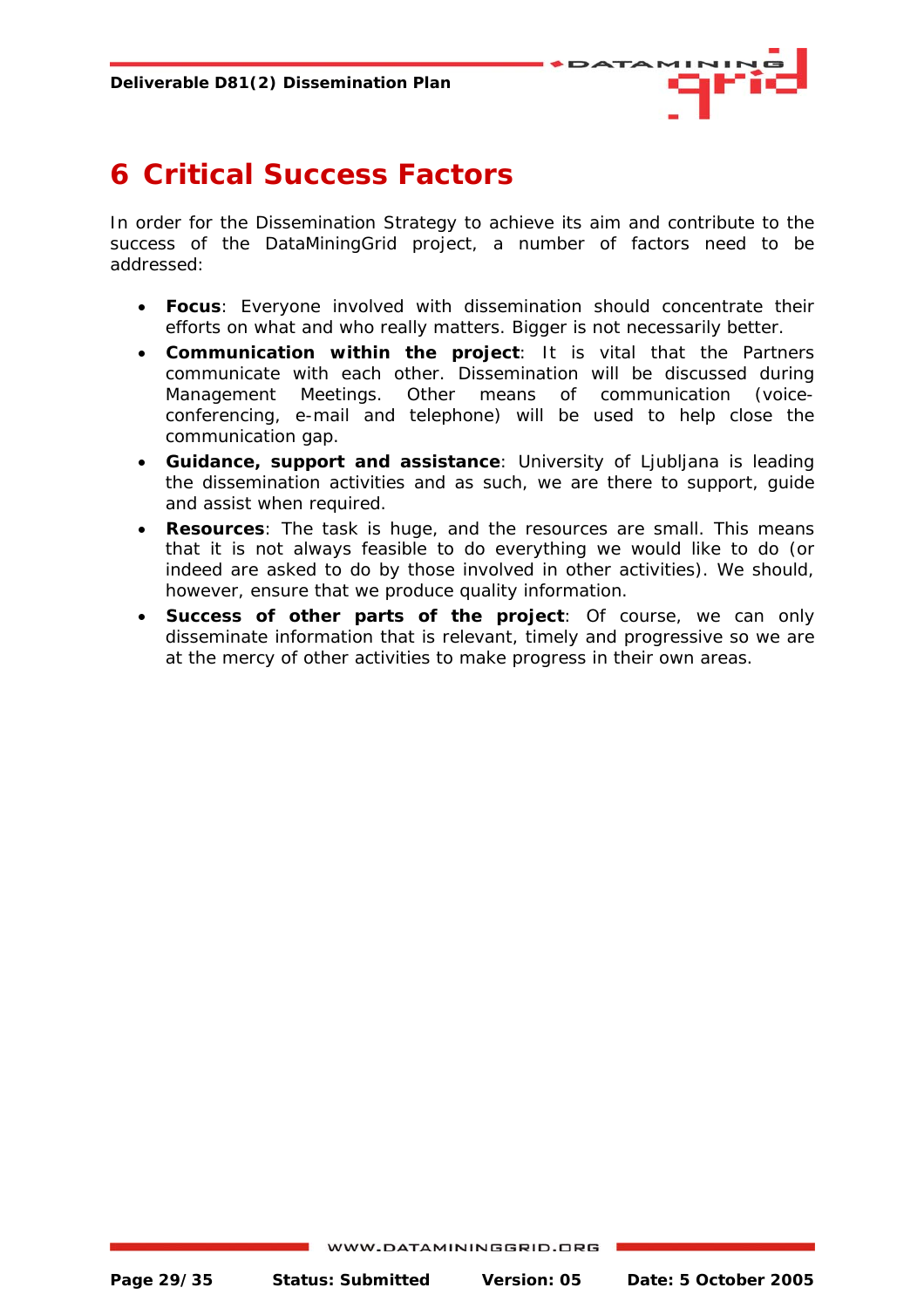

# <span id="page-28-0"></span>**6 Critical Success Factors**

In order for the Dissemination Strategy to achieve its aim and contribute to the success of the DataMiningGrid project, a number of factors need to be addressed:

- **Focus**: Everyone involved with dissemination should concentrate their efforts on what and who really matters. Bigger is not necessarily better.
- **Communication within the project**: It is vital that the Partners communicate with each other. Dissemination will be discussed during Management Meetings. Other means of communication (voiceconferencing, e-mail and telephone) will be used to help close the communication gap.
- **Guidance, support and assistance**: University of Ljubljana is leading the dissemination activities and as such, we are there to support, guide and assist when required.
- **Resources**: The task is huge, and the resources are small. This means that it is not always feasible to do everything we would like to do (or indeed are asked to do by those involved in other activities). We should, however, ensure that we produce quality information.
- **Success of other parts of the project**: Of course, we can only disseminate information that is relevant, timely and progressive so we are at the mercy of other activities to make progress in their own areas.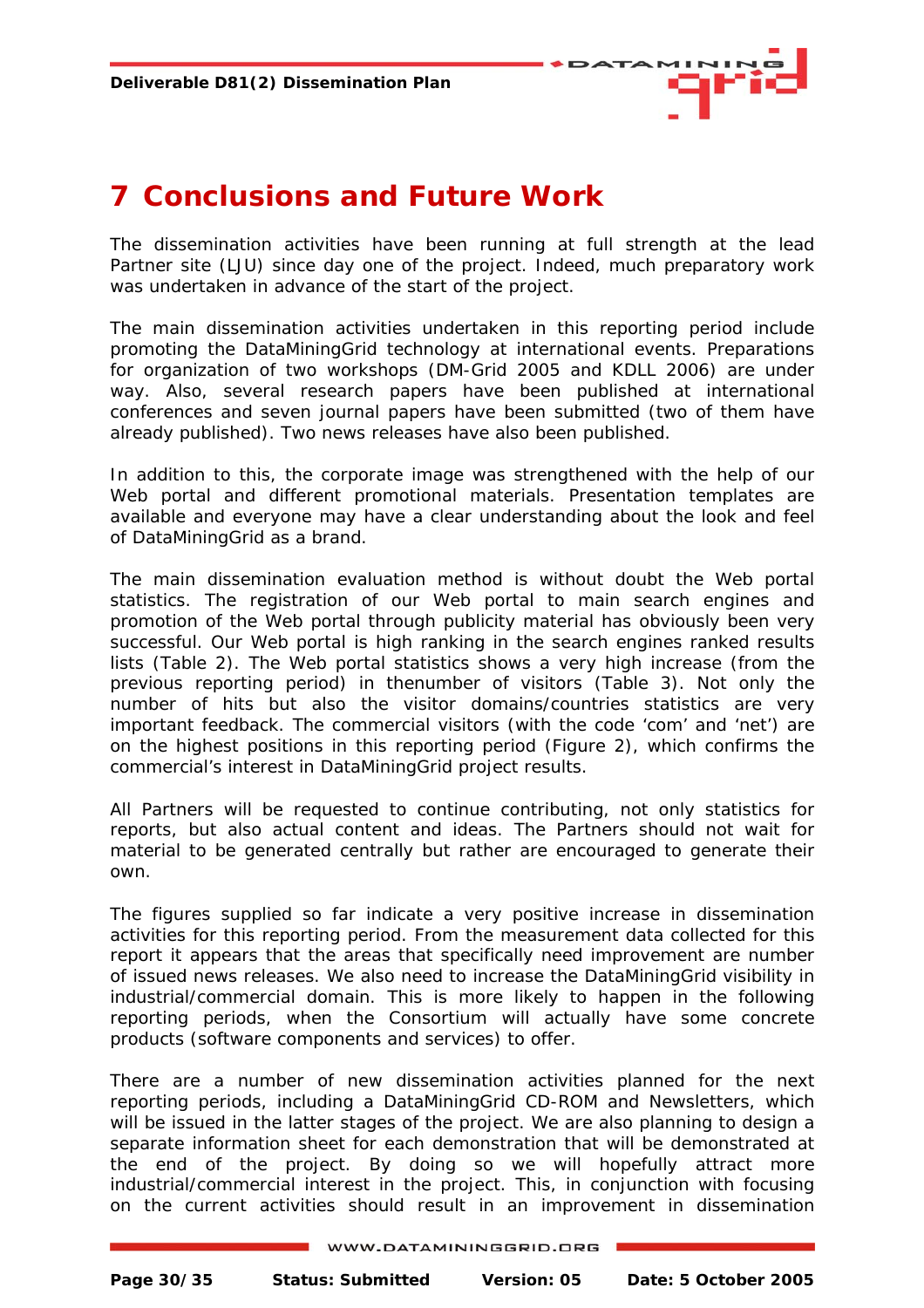

# <span id="page-29-0"></span>**7 Conclusions and Future Work**

The dissemination activities have been running at full strength at the lead Partner site (LJU) since day one of the project. Indeed, much preparatory work was undertaken in advance of the start of the project.

The main dissemination activities undertaken in this reporting period include promoting the DataMiningGrid technology at international events. Preparations for organization of two workshops (DM-Grid 2005 and KDLL 2006) are under way. Also, several research papers have been published at international conferences and seven journal papers have been submitted (two of them have already published). Two news releases have also been published.

In addition to this, the corporate image was strengthened with the help of our Web portal and different promotional materials. Presentation templates are available and everyone may have a clear understanding about the look and feel of DataMiningGrid as a brand.

The main dissemination evaluation method is without doubt the Web portal statistics. The registration of our Web portal to main search engines and promotion of the Web portal through publicity material has obviously been very successful. Our Web portal is high ranking in the search engines ranked results lists (Table 2). The Web portal statistics shows a very high increase (from the previous reporting period) in thenumber of visitors (Table 3). Not only the number of hits but also the visitor domains/countries statistics are very important feedback. The commercial visitors (with the code 'com' and 'net') are on the highest positions in this reporting period (Figure 2), which confirms the commercial's interest in DataMiningGrid project results.

All Partners will be requested to continue contributing, not only statistics for reports, but also actual content and ideas. The Partners should not wait for material to be generated centrally but rather are encouraged to generate their own.

The figures supplied so far indicate a very positive increase in dissemination activities for this reporting period. From the measurement data collected for this report it appears that the areas that specifically need improvement are number of issued news releases. We also need to increase the DataMiningGrid visibility in industrial/commercial domain. This is more likely to happen in the following reporting periods, when the Consortium will actually have some concrete products (software components and services) to offer.

There are a number of new dissemination activities planned for the next reporting periods, including a DataMiningGrid CD-ROM and Newsletters, which will be issued in the latter stages of the project. We are also planning to design a separate information sheet for each demonstration that will be demonstrated at the end of the project. By doing so we will hopefully attract more industrial/commercial interest in the project. This, in conjunction with focusing on the current activities should result in an improvement in dissemination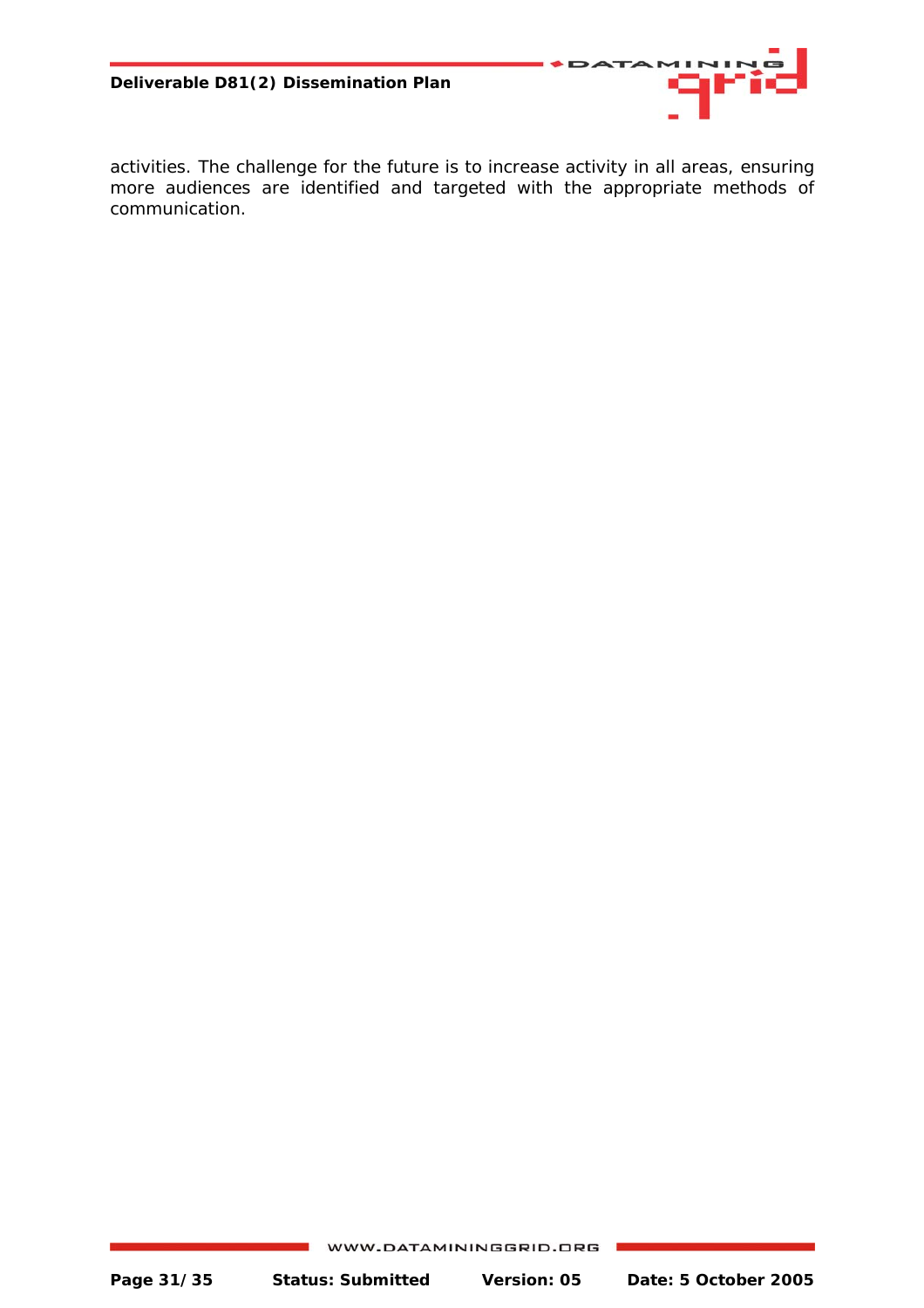

activities. The challenge for the future is to increase activity in all areas, ensuring more audiences are identified and targeted with the appropriate methods of communication.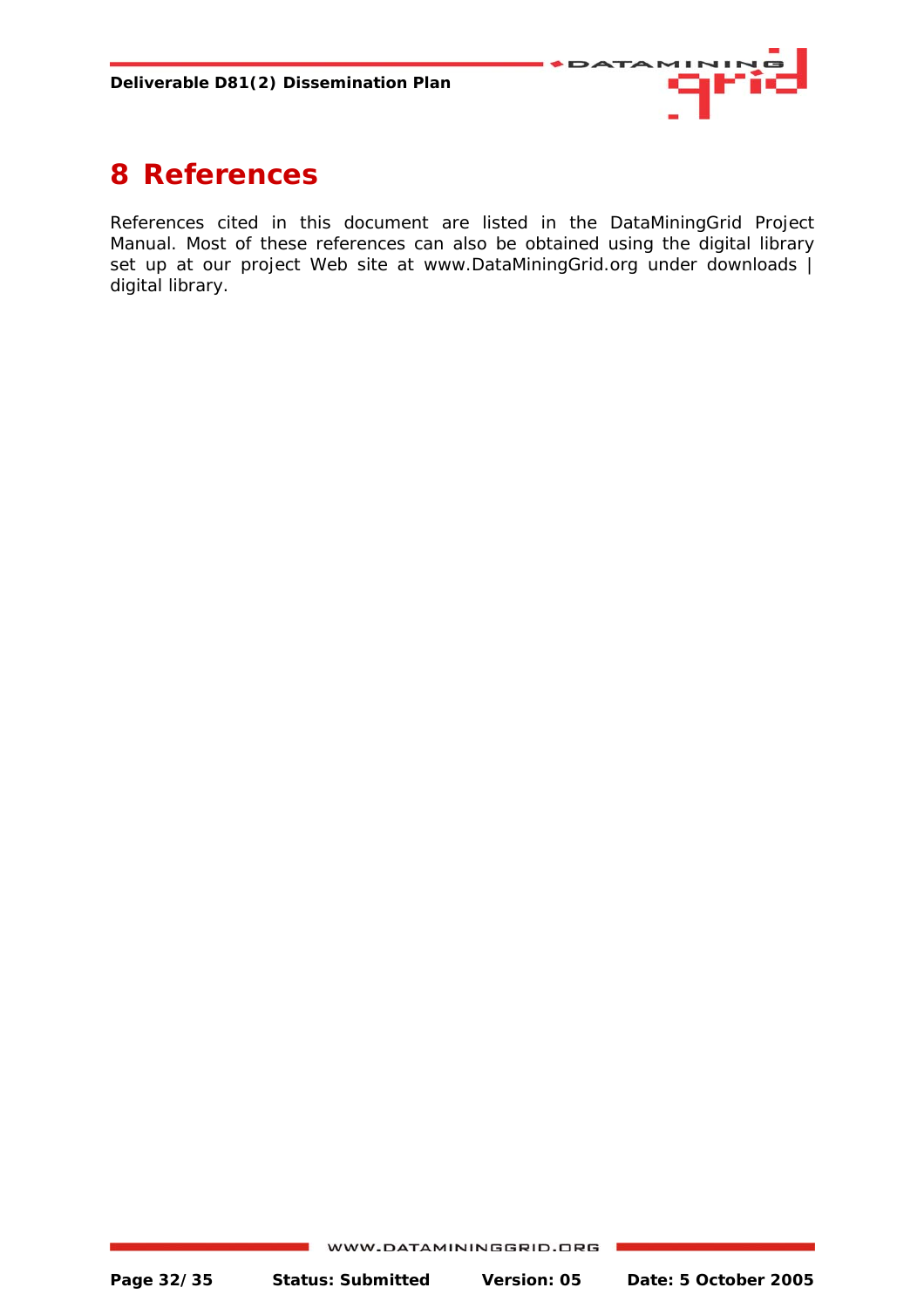

# <span id="page-31-0"></span>**8 References**

References cited in this document are listed in the DataMiningGrid Project Manual. Most of these references can also be obtained using the digital library set up at our project Web site at www.DataMiningGrid.org under downloads | digital library.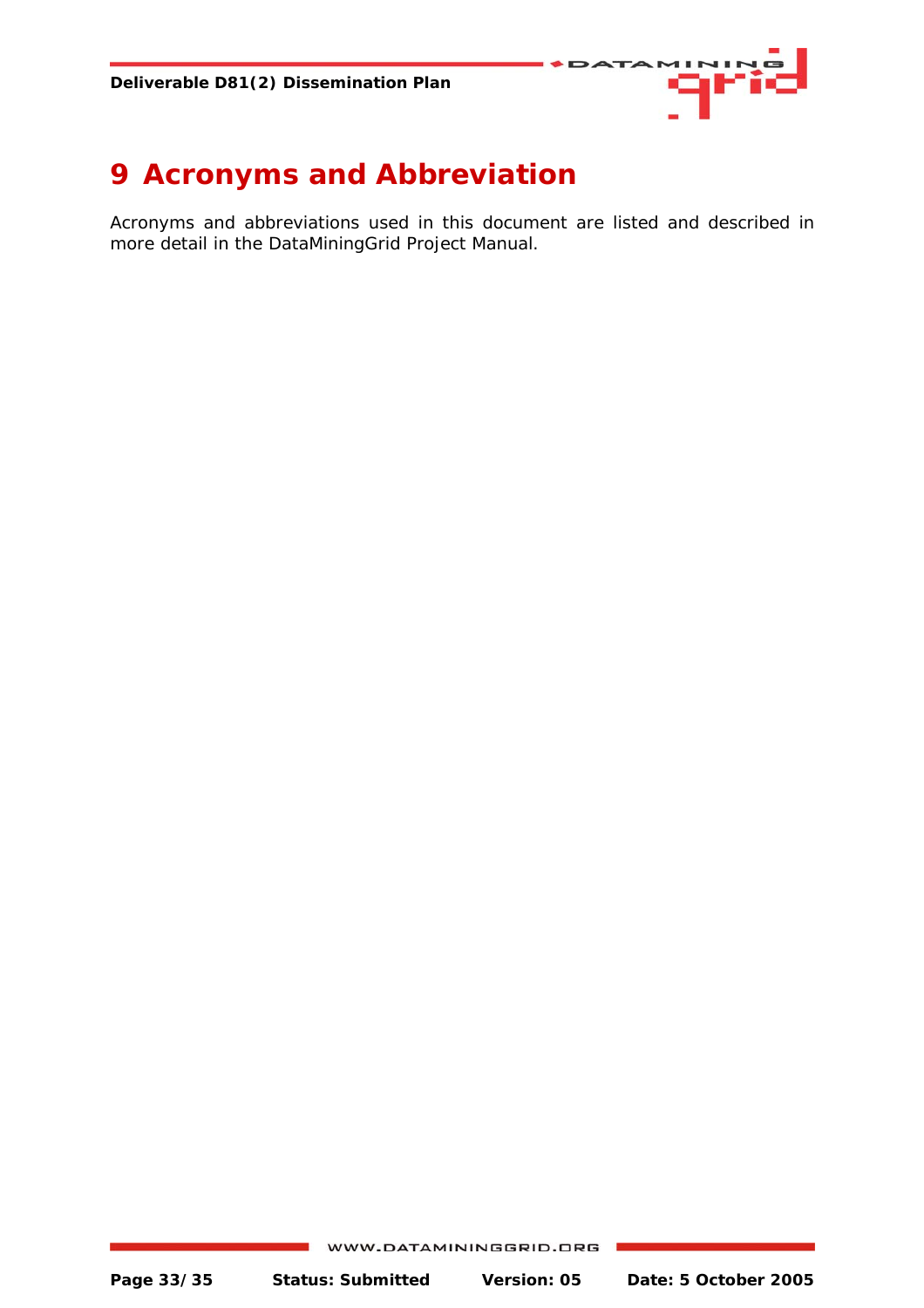

# <span id="page-32-0"></span>**9 Acronyms and Abbreviation**

Acronyms and abbreviations used in this document are listed and described in more detail in the DataMiningGrid Project Manual.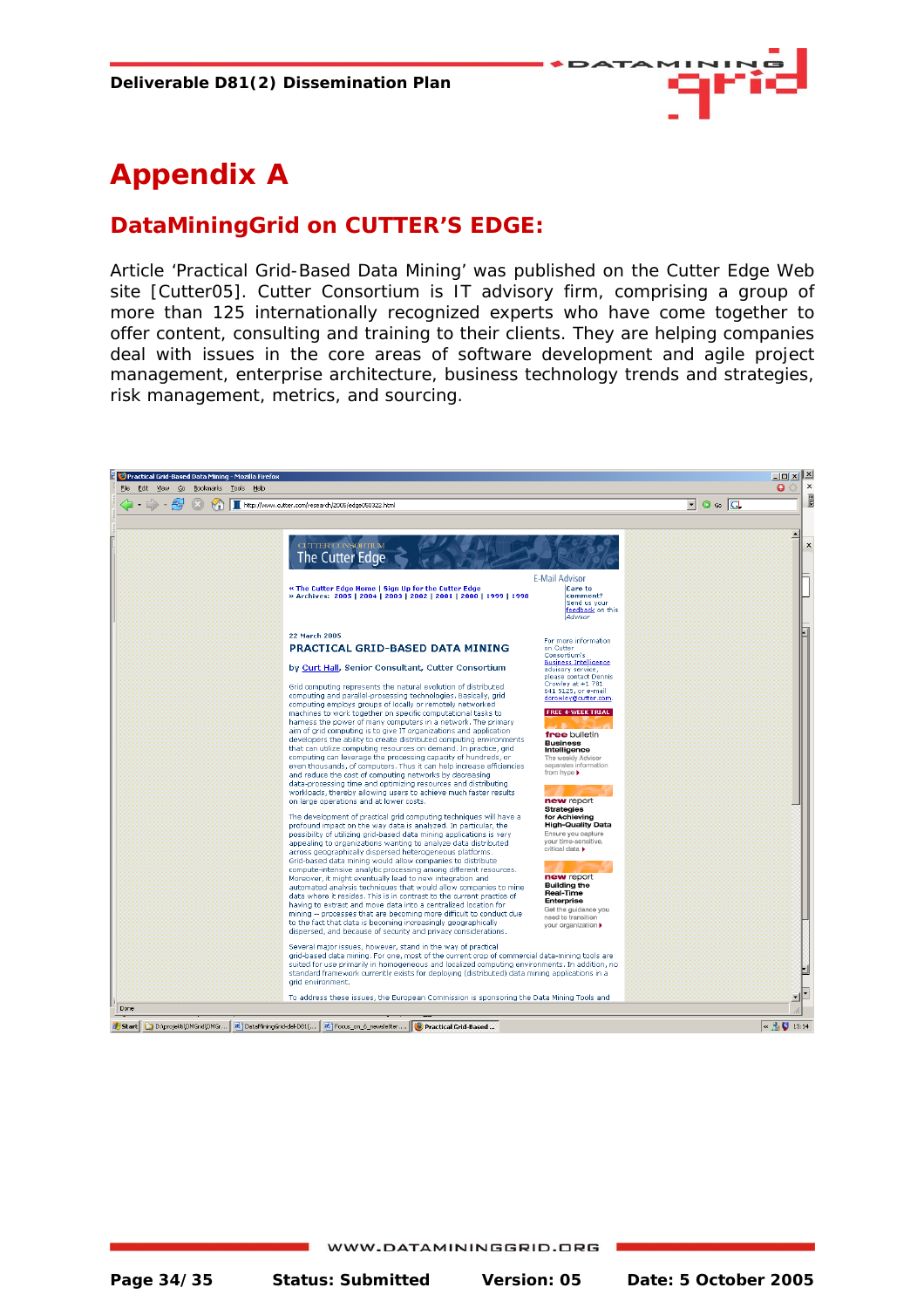

# <span id="page-33-0"></span>**Appendix A**

#### **DataMiningGrid on CUTTER'S EDGE:**

Article 'Practical Grid-Based Data Mining' was published on the Cutter Edge Web site [Cutter05]. Cutter Consortium is IT advisory firm, comprising a group of more than 125 internationally recognized experts who have come together to offer content, consulting and training to their clients. They are helping companies deal with issues in the core areas of software development and agile project management, enterprise architecture, business technology trends and strategies, risk management, metrics, and sourcing.